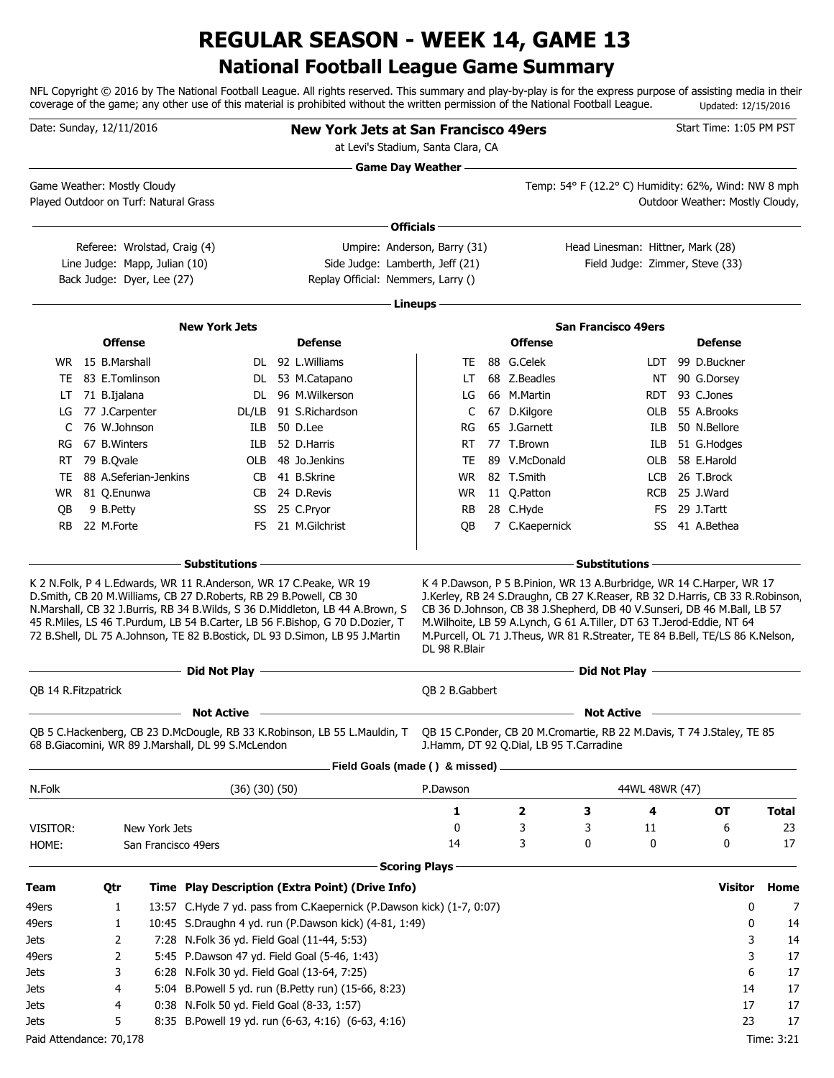# **National Football League Game Summary REGULAR SEASON - WEEK 14, GAME 13**

NFL Copyright © 2016 by The National Football League. All rights reserved. This summary and play-by-play is for the express purpose of assisting media in their coverage of the game; any other use of this material is prohibited without the written permission of the National Football League. Updated: 12/15/2016

| Date: Sunday, 12/11/2016              |                  |                                                               |                                                    | <b>New York Jets at San Francisco 49ers</b><br>at Levi's Stadium, Santa Clara, CA                                                                                                                                                            |                           |                                                                                                                                                                                                                                 |                                   |                          | Start Time: 1:05 PM PST                             |              |
|---------------------------------------|------------------|---------------------------------------------------------------|----------------------------------------------------|----------------------------------------------------------------------------------------------------------------------------------------------------------------------------------------------------------------------------------------------|---------------------------|---------------------------------------------------------------------------------------------------------------------------------------------------------------------------------------------------------------------------------|-----------------------------------|--------------------------|-----------------------------------------------------|--------------|
| Game Weather: Mostly Cloudy           |                  |                                                               |                                                    |                                                                                                                                                                                                                                              | <b>Game Day Weather —</b> |                                                                                                                                                                                                                                 |                                   |                          | Temp: 54° F (12.2° C) Humidity: 62%, Wind: NW 8 mph |              |
| Played Outdoor on Turf: Natural Grass |                  |                                                               |                                                    |                                                                                                                                                                                                                                              |                           |                                                                                                                                                                                                                                 |                                   |                          | Outdoor Weather: Mostly Cloudy,                     |              |
|                                       |                  |                                                               |                                                    |                                                                                                                                                                                                                                              | Officials -               |                                                                                                                                                                                                                                 |                                   |                          |                                                     |              |
|                                       |                  |                                                               |                                                    |                                                                                                                                                                                                                                              |                           |                                                                                                                                                                                                                                 | Head Linesman: Hittner, Mark (28) |                          |                                                     |              |
|                                       |                  | Referee: Wrolstad, Craig (4)<br>Line Judge: Mapp, Julian (10) |                                                    | Umpire: Anderson, Barry (31)<br>Side Judge: Lamberth, Jeff (21)                                                                                                                                                                              |                           |                                                                                                                                                                                                                                 | Field Judge: Zimmer, Steve (33)   |                          |                                                     |              |
|                                       |                  | Back Judge: Dyer, Lee (27)                                    |                                                    | Replay Official: Nemmers, Larry ()                                                                                                                                                                                                           |                           |                                                                                                                                                                                                                                 |                                   |                          |                                                     |              |
|                                       |                  |                                                               |                                                    |                                                                                                                                                                                                                                              |                           |                                                                                                                                                                                                                                 |                                   |                          |                                                     |              |
|                                       |                  |                                                               |                                                    |                                                                                                                                                                                                                                              | Lineups -                 |                                                                                                                                                                                                                                 |                                   |                          |                                                     |              |
|                                       |                  |                                                               | <b>New York Jets</b>                               |                                                                                                                                                                                                                                              |                           |                                                                                                                                                                                                                                 | <b>San Francisco 49ers</b>        |                          |                                                     |              |
|                                       |                  | <b>Offense</b>                                                |                                                    | <b>Defense</b>                                                                                                                                                                                                                               |                           | <b>Offense</b>                                                                                                                                                                                                                  |                                   |                          | <b>Defense</b>                                      |              |
|                                       | WR 15 B.Marshall |                                                               |                                                    | DL 92 L. Williams                                                                                                                                                                                                                            | TE                        | 88 G.Celek                                                                                                                                                                                                                      |                                   | LDT.                     | 99 D.Buckner                                        |              |
| TE                                    |                  | 83 E.Tomlinson                                                |                                                    | DL 53 M.Catapano                                                                                                                                                                                                                             | LT                        | 68 Z.Beadles                                                                                                                                                                                                                    |                                   | NT                       | 90 G.Dorsey                                         |              |
| LT                                    | 71 B.Ijalana     |                                                               |                                                    | DL 96 M.Wilkerson                                                                                                                                                                                                                            | LG                        | 66 M.Martin                                                                                                                                                                                                                     |                                   | RDT.                     | 93 C.Jones                                          |              |
| LG                                    |                  | 77 J.Carpenter                                                | DL/LB                                              | 91 S.Richardson                                                                                                                                                                                                                              | C                         | 67 D.Kilgore                                                                                                                                                                                                                    |                                   | OLB                      | 55 A.Brooks                                         |              |
| C                                     | 76 W.Johnson     |                                                               | ILB.                                               | 50 D.Lee<br>52 D.Harris                                                                                                                                                                                                                      | RG                        | 65 J.Garnett                                                                                                                                                                                                                    |                                   | ILB                      | 50 N.Bellore                                        |              |
| RG                                    | 67 B. Winters    |                                                               | ILB                                                | 48 Jo.Jenkins                                                                                                                                                                                                                                | RT                        | 77 T.Brown                                                                                                                                                                                                                      |                                   | ILB                      | 51 G.Hodges                                         |              |
| RT                                    | 79 B.Qvale       | 88 A.Seferian-Jenkins                                         | OLB                                                | 41 B.Skrine                                                                                                                                                                                                                                  | TE                        | 89 V.McDonald<br>82 T.Smith                                                                                                                                                                                                     |                                   | OLB                      | 58 E.Harold<br>26 T.Brock                           |              |
| TE                                    | 81 Q.Enunwa      |                                                               | CB.<br>CB                                          | 24 D.Revis                                                                                                                                                                                                                                   | WR<br>WR.                 | 11 Q.Patton                                                                                                                                                                                                                     |                                   | <b>LCB</b><br><b>RCB</b> | 25 J.Ward                                           |              |
| WR.                                   | 9 B.Petty        |                                                               |                                                    | SS 25 C.Pryor                                                                                                                                                                                                                                | RB                        | 28 C.Hyde                                                                                                                                                                                                                       |                                   | FS                       | 29 J.Tartt                                          |              |
| QB<br><b>RB</b>                       | 22 M.Forte       |                                                               | FS.                                                | 21 M.Gilchrist                                                                                                                                                                                                                               | QB                        | 7 C.Kaepernick                                                                                                                                                                                                                  |                                   | SS                       | 41 A.Bethea                                         |              |
|                                       |                  |                                                               |                                                    |                                                                                                                                                                                                                                              |                           |                                                                                                                                                                                                                                 |                                   |                          |                                                     |              |
|                                       |                  |                                                               | – Substitutions                                    |                                                                                                                                                                                                                                              |                           |                                                                                                                                                                                                                                 | <b>Substitutions</b>              |                          |                                                     |              |
|                                       |                  |                                                               |                                                    | N.Marshall, CB 32 J.Burris, RB 34 B.Wilds, S 36 D.Middleton, LB 44 A.Brown, S<br>45 R.Miles, LS 46 T.Purdum, LB 54 B.Carter, LB 56 F.Bishop, G 70 D.Dozier, T<br>72 B.Shell, DL 75 A.Johnson, TE 82 B.Bostick, DL 93 D.Simon, LB 95 J.Martin | DL 98 R.Blair             | CB 36 D.Johnson, CB 38 J.Shepherd, DB 40 V.Sunseri, DB 46 M.Ball, LB 57<br>M.Wilhoite, LB 59 A.Lynch, G 61 A.Tiller, DT 63 T.Jerod-Eddie, NT 64<br>M.Purcell, OL 71 J.Theus, WR 81 R.Streater, TE 84 B.Bell, TE/LS 86 K.Nelson, |                                   |                          |                                                     |              |
|                                       |                  |                                                               | Did Not Play -                                     | <u> 1980 - Johann Barbara, martxa alemaniar argumento este alemaniar alemaniar alemaniar alemaniar alemaniar al</u>                                                                                                                          |                           |                                                                                                                                                                                                                                 | Did Not Play -                    |                          |                                                     |              |
| QB 14 R.Fitzpatrick                   |                  |                                                               |                                                    |                                                                                                                                                                                                                                              | QB 2 B.Gabbert            |                                                                                                                                                                                                                                 |                                   |                          |                                                     |              |
|                                       |                  |                                                               | <b>Not Active</b>                                  |                                                                                                                                                                                                                                              |                           |                                                                                                                                                                                                                                 | <b>Not Active</b>                 |                          |                                                     |              |
|                                       |                  |                                                               | 68 B.Giacomini, WR 89 J.Marshall, DL 99 S.McLendon | QB 5 C.Hackenberg, CB 23 D.McDougle, RB 33 K.Robinson, LB 55 L.Mauldin, T QB 15 C.Ponder, CB 20 M.Cromartie, RB 22 M.Davis, T 74 J.Staley, TE 85                                                                                             |                           | J.Hamm, DT 92 Q.Dial, LB 95 T.Carradine                                                                                                                                                                                         |                                   |                          |                                                     |              |
|                                       |                  |                                                               |                                                    | Field Goals (made () & missed).                                                                                                                                                                                                              |                           |                                                                                                                                                                                                                                 |                                   |                          |                                                     |              |
| N.Folk                                |                  |                                                               | (36)(30)(50)                                       |                                                                                                                                                                                                                                              | P.Dawson                  |                                                                                                                                                                                                                                 |                                   | 44WL 48WR (47)           |                                                     |              |
|                                       |                  |                                                               |                                                    |                                                                                                                                                                                                                                              | 1                         | 2                                                                                                                                                                                                                               | З                                 | 4                        | <b>OT</b>                                           | <b>Total</b> |
| VISITOR:                              |                  | New York Jets                                                 |                                                    |                                                                                                                                                                                                                                              | 0                         | 3                                                                                                                                                                                                                               | 3                                 | 11                       | 6                                                   | 23           |
| HOME:                                 |                  | San Francisco 49ers                                           |                                                    |                                                                                                                                                                                                                                              | 14                        | 3                                                                                                                                                                                                                               | 0                                 | 0                        | 0                                                   | 17           |
|                                       |                  |                                                               |                                                    |                                                                                                                                                                                                                                              | <b>Scoring Plays</b>      |                                                                                                                                                                                                                                 |                                   |                          |                                                     |              |
| Team                                  | Qtr              |                                                               |                                                    | Time Play Description (Extra Point) (Drive Info)                                                                                                                                                                                             |                           |                                                                                                                                                                                                                                 |                                   |                          | Visitor                                             | Home         |
|                                       |                  |                                                               |                                                    |                                                                                                                                                                                                                                              |                           |                                                                                                                                                                                                                                 |                                   |                          |                                                     |              |
| 49ers                                 |                  | 1                                                             |                                                    | 13:57 C.Hyde 7 yd. pass from C.Kaepernick (P.Dawson kick) (1-7, 0:07)                                                                                                                                                                        |                           |                                                                                                                                                                                                                                 |                                   |                          | 0                                                   | 7            |
| 49ers<br>Jets                         |                  | 1<br>2                                                        | 7:28 N.Folk 36 yd. Field Goal (11-44, 5:53)        | 10:45 S.Draughn 4 yd. run (P.Dawson kick) (4-81, 1:49)                                                                                                                                                                                       |                           |                                                                                                                                                                                                                                 |                                   |                          | 0<br>3                                              | 14<br>14     |
|                                       |                  |                                                               |                                                    |                                                                                                                                                                                                                                              |                           |                                                                                                                                                                                                                                 |                                   |                          | 3                                                   | 17           |
| 49ers<br>Jets                         |                  | 2<br>3                                                        | 6:28 N.Folk 30 yd. Field Goal (13-64, 7:25)        | 5:45 P.Dawson 47 yd. Field Goal (5-46, 1:43)                                                                                                                                                                                                 |                           |                                                                                                                                                                                                                                 |                                   |                          | 6                                                   | 17           |
| Jets                                  |                  | 4                                                             |                                                    | 5:04 B. Powell 5 yd. run (B. Petty run) (15-66, 8:23)                                                                                                                                                                                        |                           |                                                                                                                                                                                                                                 |                                   |                          | 14                                                  | 17           |
| Jets                                  |                  | 4                                                             | 0:38 N.Folk 50 yd. Field Goal (8-33, 1:57)         |                                                                                                                                                                                                                                              |                           |                                                                                                                                                                                                                                 |                                   |                          | 17                                                  | 17           |
| Jets                                  |                  | 5                                                             |                                                    | 8:35 B.Powell 19 yd. run (6-63, 4:16) (6-63, 4:16)                                                                                                                                                                                           |                           |                                                                                                                                                                                                                                 |                                   |                          | 23                                                  | 17           |
| Paid Attendance: 70,178               |                  |                                                               |                                                    |                                                                                                                                                                                                                                              |                           |                                                                                                                                                                                                                                 |                                   |                          |                                                     | Time: 3:21   |
|                                       |                  |                                                               |                                                    |                                                                                                                                                                                                                                              |                           |                                                                                                                                                                                                                                 |                                   |                          |                                                     |              |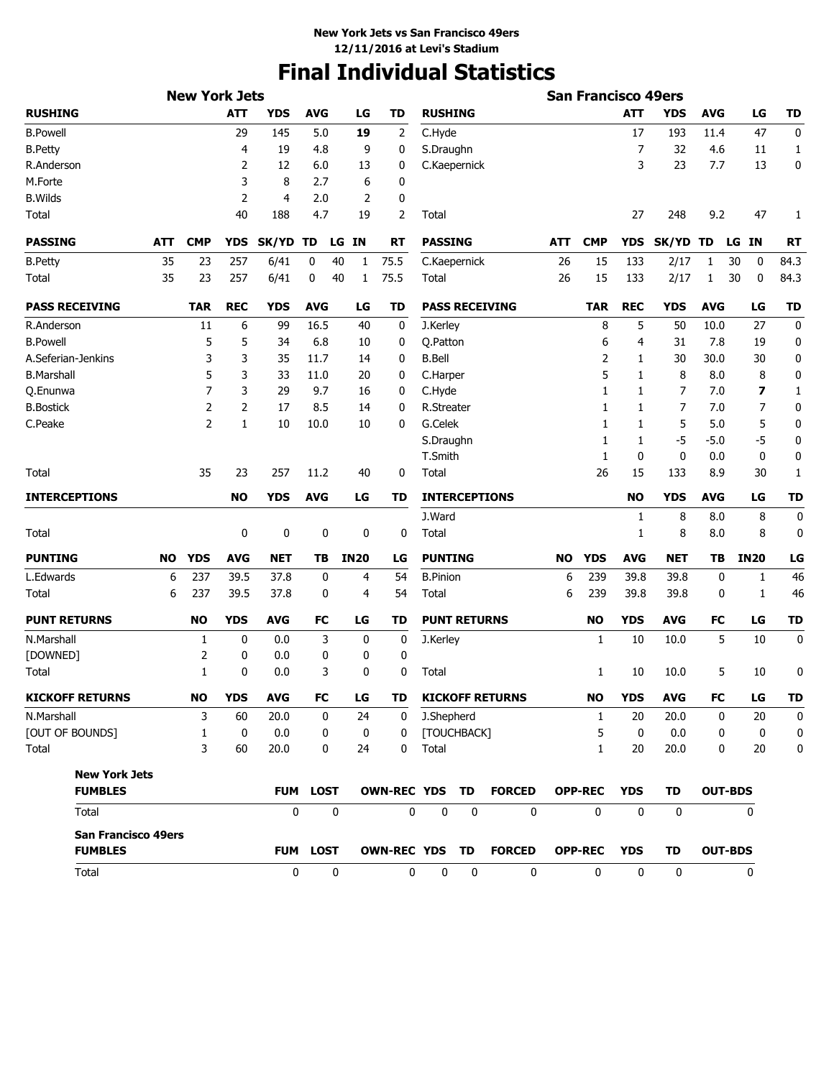# **Final Individual Statistics**

|                                              |           | <b>New York Jets</b> |            |              |                 |              |             |                       |                     |                  |                        |           | <b>San Francisco 49ers</b> |              |             |                |                |             |
|----------------------------------------------|-----------|----------------------|------------|--------------|-----------------|--------------|-------------|-----------------------|---------------------|------------------|------------------------|-----------|----------------------------|--------------|-------------|----------------|----------------|-------------|
| <b>RUSHING</b>                               |           |                      | <b>ATT</b> | <b>YDS</b>   | <b>AVG</b>      |              | LG          | TD                    | <b>RUSHING</b>      |                  |                        |           |                            | <b>ATT</b>   | <b>YDS</b>  | <b>AVG</b>     | LG             | <b>TD</b>   |
| <b>B.Powell</b>                              |           |                      | 29         | 145          | 5.0             |              | 19          | 2                     | C.Hyde              |                  |                        |           |                            | 17           | 193         | 11.4           | 47             | 0           |
| <b>B.Petty</b>                               |           |                      | 4          | 19           | 4.8             |              | 9           | 0                     | S.Draughn           |                  |                        |           |                            | 7            | 32          | 4.6            | 11             | 1           |
| R.Anderson                                   |           |                      | 2          | 12           | 6.0             |              | 13          | 0                     | C.Kaepernick        |                  |                        |           |                            | 3            | 23          | 7.7            | 13             | 0           |
| M.Forte                                      |           |                      | 3          | 8            | 2.7             |              | 6           | 0                     |                     |                  |                        |           |                            |              |             |                |                |             |
| <b>B.Wilds</b>                               |           |                      | 2          | 4            | 2.0             |              | 2           | 0                     |                     |                  |                        |           |                            |              |             |                |                |             |
| Total                                        |           |                      | 40         | 188          | 4.7             |              | 19          | 2                     | Total               |                  |                        |           |                            | 27           | 248         | 9.2            | 47             | 1           |
| <b>PASSING</b>                               | ATT       | <b>CMP</b>           | <b>YDS</b> | <b>SK/YD</b> | TD              | LG           | IN          | RT                    | <b>PASSING</b>      |                  |                        | ATT       | <b>CMP</b>                 | <b>YDS</b>   | SK/YD TD    |                | ΙN<br>LG       | <b>RT</b>   |
| <b>B.Petty</b>                               | 35        | 23                   | 257        | 6/41         | 0               | 40           | 1           | 75.5                  | C.Kaepernick        |                  |                        | 26        | 15                         | 133          | 2/17        | 1              | 30<br>0        | 84.3        |
| Total                                        | 35        | 23                   | 257        | 6/41         | 0               | 40           | 1           | 75.5                  | <b>Total</b>        |                  |                        | 26        | 15                         | 133          | 2/17        | 1              | 30<br>0        | 84.3        |
| <b>PASS RECEIVING</b>                        |           | <b>TAR</b>           | <b>REC</b> | <b>YDS</b>   | <b>AVG</b>      |              | LG          | TD                    |                     |                  | <b>PASS RECEIVING</b>  |           | <b>TAR</b>                 | <b>REC</b>   | <b>YDS</b>  | <b>AVG</b>     | LG             | <b>TD</b>   |
| R.Anderson                                   |           | 11                   | 6          | 99           | 16.5            |              | 40          | 0                     | J.Kerley            |                  |                        |           | 8                          | 5            | 50          | 10.0           | 27             | 0           |
| <b>B.Powell</b>                              |           | 5                    | 5          | 34           | 6.8             |              | 10          | 0                     | Q.Patton            |                  |                        |           | 6                          | 4            | 31          | 7.8            | 19             | 0           |
| A.Seferian-Jenkins                           |           | 3                    | 3          | 35           | 11.7            |              | 14          | 0                     | <b>B.Bell</b>       |                  |                        |           | 2                          | 1            | 30          | 30.0           | 30             | 0           |
| <b>B.Marshall</b>                            |           | 5                    | 3          | 33           | 11.0            |              | 20          | 0                     | C.Harper            |                  |                        |           | 5                          | 1            | 8           | 8.0            | 8              | 0           |
| Q.Enunwa                                     |           | 7                    | 3          | 29           | 9.7             |              | 16          | 0                     | C.Hyde              |                  |                        |           | 1                          | 1            | 7           | 7.0            | 7              | 1           |
| <b>B.Bostick</b>                             |           | 2                    | 2          | 17           | 8.5             |              | 14          | 0                     | R.Streater          |                  |                        |           | 1                          | 1            | 7           | 7.0            | $\overline{7}$ | 0           |
| C.Peake                                      |           | $\overline{2}$       | 1          | 10           | 10.0            |              | 10          | 0                     | G.Celek             |                  |                        |           | 1                          | 1            | 5           | 5.0            | 5              | 0           |
|                                              |           |                      |            |              |                 |              |             |                       | S.Draughn           |                  |                        |           | 1                          | 1            | $-5$        | $-5.0$         | $-5$           | 0           |
|                                              |           |                      |            |              |                 |              |             |                       | T.Smith             |                  |                        |           | 1                          | 0            | 0           | 0.0            | 0              | 0           |
| Total                                        |           | 35                   | 23         | 257          | 11.2            |              | 40          | 0                     | Total               |                  |                        |           | 26                         | 15           | 133         | 8.9            | 30             | 1           |
| <b>INTERCEPTIONS</b>                         |           |                      | <b>NO</b>  | <b>YDS</b>   | <b>AVG</b>      |              | LG          | TD                    |                     |                  | <b>INTERCEPTIONS</b>   |           |                            | <b>NO</b>    | <b>YDS</b>  | <b>AVG</b>     | LG             | <b>TD</b>   |
|                                              |           |                      |            |              |                 |              |             |                       | J.Ward              |                  |                        |           |                            | 1            | 8           | 8.0            | 8              | 0           |
| <b>Total</b>                                 |           |                      | 0          | 0            | 0               |              | 0           | 0                     | Total               |                  |                        |           |                            | 1            | 8           | 8.0            | 8              | 0           |
| <b>PUNTING</b>                               | <b>NO</b> | <b>YDS</b>           | <b>AVG</b> | <b>NET</b>   | TВ              |              | <b>IN20</b> | LG                    | <b>PUNTING</b>      |                  |                        | <b>NO</b> | <b>YDS</b>                 | <b>AVG</b>   | <b>NET</b>  | TВ             | <b>IN20</b>    | LG          |
| L.Edwards                                    | 6         | 237                  | 39.5       | 37.8         | 0               |              | 4           | 54                    | <b>B.Pinion</b>     |                  |                        | 6         | 239                        | 39.8         | 39.8        | 0              | 1              | 46          |
| <b>Total</b>                                 | 6         | 237                  | 39.5       | 37.8         | 0               |              | 4           | 54                    | Total               |                  |                        | 6         | 239                        | 39.8         | 39.8        | 0              | 1              | 46          |
| <b>PUNT RETURNS</b>                          |           | <b>NO</b>            | <b>YDS</b> | <b>AVG</b>   | <b>FC</b>       |              | LG          | TD                    | <b>PUNT RETURNS</b> |                  |                        |           | <b>NO</b>                  | <b>YDS</b>   | <b>AVG</b>  | <b>FC</b>      | LG             | <b>TD</b>   |
| N.Marshall                                   |           | 1                    | 0          | 0.0          | 3               |              | 0           | 0                     | J.Kerley            |                  |                        |           | $\mathbf{1}$               | 10           | 10.0        | 5              | 10             | 0           |
| [DOWNED]                                     |           | 2                    | 0          | 0.0          | 0               |              | 0           | $\mathbf 0$           |                     |                  |                        |           |                            |              |             |                |                |             |
| Total                                        |           | 1                    | 0          | 0.0          |                 | 3            | 0           | 0                     | Total               |                  |                        |           | 1                          | 10           | 10.0        | 5              | 10             | 0           |
| <b>KICKOFF RETURNS</b>                       |           | <b>NO</b>            | <b>YDS</b> | AVG          | FC              |              | LG          | TD                    |                     |                  | <b>KICKOFF RETURNS</b> |           | <b>NO</b>                  | <b>YDS</b>   | <b>AVG</b>  | FC             | LG             | TD          |
| N.Marshall                                   |           | 3                    | 60         | 20.0         |                 | 0            | 24          | $\mathbf{0}$          | J.Shepherd          |                  |                        |           | $\mathbf{1}$               | 20           | 20.0        | 0              | 20             | 0           |
| [OUT OF BOUNDS]                              |           | $\mathbf{1}$         | 0          | 0.0          |                 | 0            | 0           | $\mathbf{0}$          | [TOUCHBACK]         |                  |                        |           | 5                          | 0            | 0.0         | 0              | 0              | $\mathbf 0$ |
| Total                                        |           | 3                    | 60         | 20.0         |                 | 0            | 24          | 0                     | Total               |                  |                        |           | $\mathbf{1}$               | 20           | 20.0        | 0              | 20             | 0           |
| <b>New York Jets</b>                         |           |                      |            |              |                 |              |             |                       |                     |                  |                        |           |                            |              |             |                |                |             |
| <b>FUMBLES</b>                               |           |                      |            |              | <b>FUM LOST</b> |              |             | <b>OWN-REC YDS TD</b> |                     |                  | <b>FORCED</b>          |           | <b>OPP-REC</b>             | <b>YDS</b>   | TD          | <b>OUT-BDS</b> |                |             |
| Total                                        |           |                      |            | $\mathbf{0}$ |                 | $\mathbf 0$  |             | 0                     | $\mathbf 0$         | $\mathbf 0$      | $\mathbf{0}$           |           | $\mathbf 0$                | $\mathbf{0}$ | $\mathbf 0$ |                | $\mathbf{0}$   |             |
| <b>San Francisco 49ers</b><br><b>FUMBLES</b> |           |                      |            |              | <b>FUM LOST</b> |              |             |                       |                     |                  | OWN-REC YDS TD FORCED  |           | <b>OPP-REC</b>             | <b>YDS</b>   | TD          | <b>OUT-BDS</b> |                |             |
| Total                                        |           |                      |            | 0            |                 | $\mathbf{0}$ |             | 0                     | $\mathbf 0$         | $\boldsymbol{0}$ | $\mathbf 0$            |           | 0                          | 0            | $\mathbf 0$ |                | 0              |             |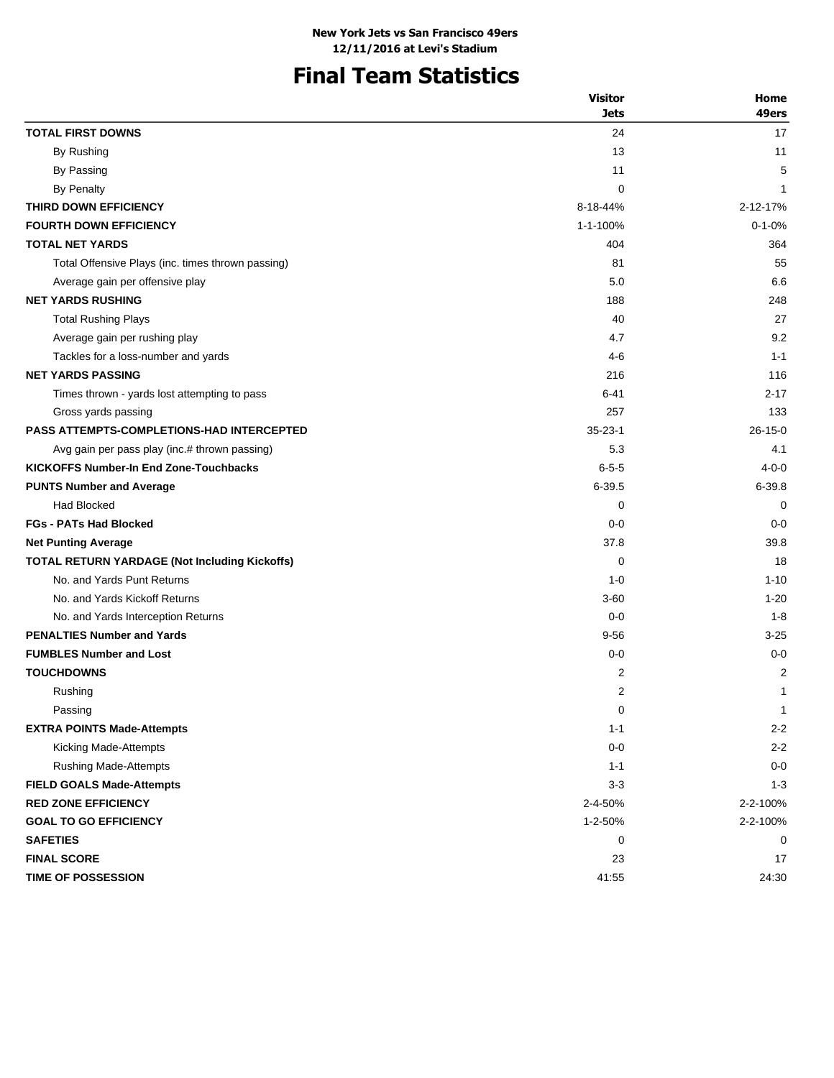# **Final Team Statistics**

|                                                      | <b>Visitor</b> | Home          |
|------------------------------------------------------|----------------|---------------|
|                                                      | <b>Jets</b>    | 49ers         |
| <b>TOTAL FIRST DOWNS</b>                             | 24             | 17            |
| By Rushing                                           | 13             | 11            |
| By Passing                                           | 11             | 5             |
| By Penalty                                           | $\mathbf 0$    | 1             |
| THIRD DOWN EFFICIENCY                                | 8-18-44%       | 2-12-17%      |
| <b>FOURTH DOWN EFFICIENCY</b>                        | 1-1-100%       | $0 - 1 - 0%$  |
| <b>TOTAL NET YARDS</b>                               | 404            | 364           |
| Total Offensive Plays (inc. times thrown passing)    | 81             | 55            |
| Average gain per offensive play                      | 5.0            | 6.6           |
| <b>NET YARDS RUSHING</b>                             | 188            | 248           |
| <b>Total Rushing Plays</b>                           | 40             | 27            |
| Average gain per rushing play                        | 4.7            | 9.2           |
| Tackles for a loss-number and yards                  | $4-6$          | $1 - 1$       |
| <b>NET YARDS PASSING</b>                             | 216            | 116           |
| Times thrown - yards lost attempting to pass         | 6-41           | 2-17          |
| Gross yards passing                                  | 257            | 133           |
| <b>PASS ATTEMPTS-COMPLETIONS-HAD INTERCEPTED</b>     | $35 - 23 - 1$  | $26 - 15 - 0$ |
| Avg gain per pass play (inc.# thrown passing)        | 5.3            | 4.1           |
| <b>KICKOFFS Number-In End Zone-Touchbacks</b>        | $6 - 5 - 5$    | $4 - 0 - 0$   |
| <b>PUNTS Number and Average</b>                      | $6 - 39.5$     | $6 - 39.8$    |
| Had Blocked                                          | 0              | 0             |
| <b>FGs - PATs Had Blocked</b>                        | $0 - 0$        | $0 - 0$       |
| <b>Net Punting Average</b>                           | 37.8           | 39.8          |
| <b>TOTAL RETURN YARDAGE (Not Including Kickoffs)</b> | 0              | 18            |
| No. and Yards Punt Returns                           | $1 - 0$        | $1 - 10$      |
| No. and Yards Kickoff Returns                        | $3 - 60$       | $1 - 20$      |
| No. and Yards Interception Returns                   | $0 - 0$        | $1 - 8$       |
| <b>PENALTIES Number and Yards</b>                    | $9 - 56$       | $3 - 25$      |
| <b>FUMBLES Number and Lost</b>                       | $0 - 0$        | $0 - 0$       |
| <b>TOUCHDOWNS</b>                                    | 2              | 2             |
| Rushing                                              | $\overline{2}$ | 1             |
| Passing                                              | 0              | $\mathbf{1}$  |
| <b>EXTRA POINTS Made-Attempts</b>                    | $1 - 1$        | $2 - 2$       |
| Kicking Made-Attempts                                | $0-0$          | $2 - 2$       |
| <b>Rushing Made-Attempts</b>                         | $1 - 1$        | $0-0$         |
| <b>FIELD GOALS Made-Attempts</b>                     | $3 - 3$        | $1 - 3$       |
| <b>RED ZONE EFFICIENCY</b>                           | 2-4-50%        | 2-2-100%      |
| <b>GOAL TO GO EFFICIENCY</b>                         | 1-2-50%        | 2-2-100%      |
| <b>SAFETIES</b>                                      | 0              | 0             |
| <b>FINAL SCORE</b>                                   | 23             | 17            |
| <b>TIME OF POSSESSION</b>                            | 41:55          | 24:30         |
|                                                      |                |               |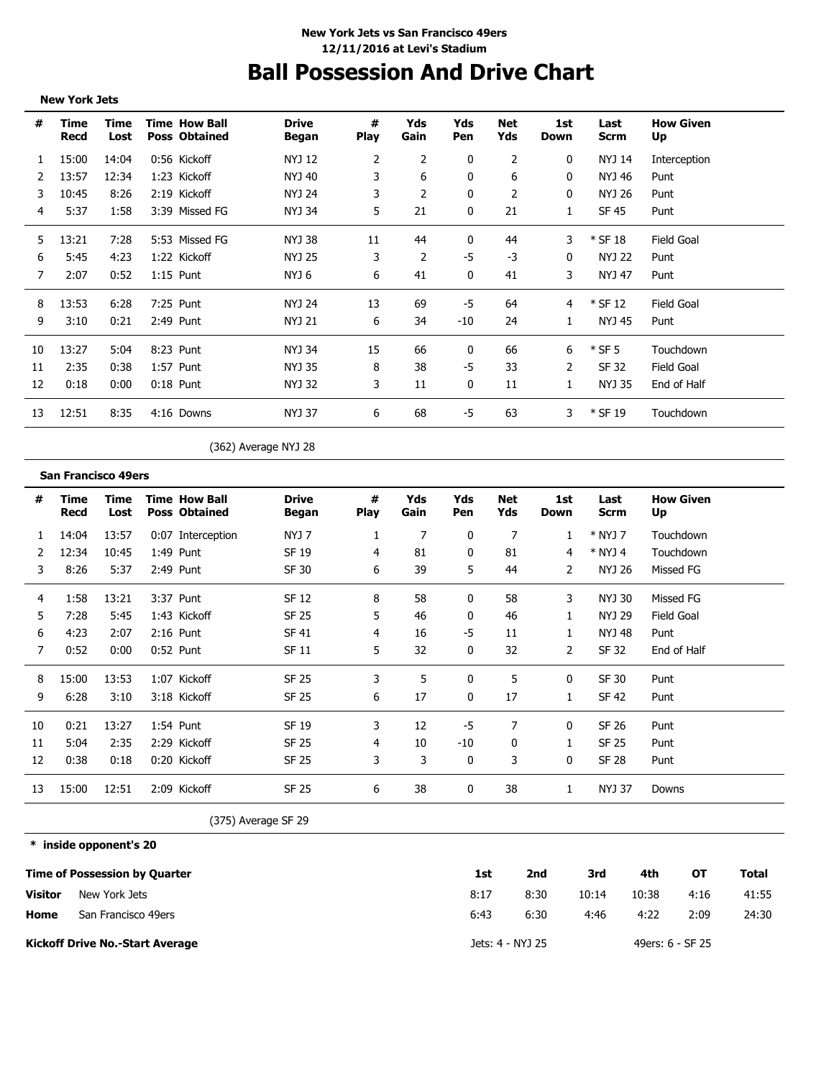# **Ball Possession And Drive Chart**

|               | <b>New York Jets</b> |              |                                              |                       |                  |             |              |                   |             |               |                        |  |
|---------------|----------------------|--------------|----------------------------------------------|-----------------------|------------------|-------------|--------------|-------------------|-------------|---------------|------------------------|--|
| #             | Time<br>Recd         | Time<br>Lost | <b>Time How Ball</b><br><b>Poss Obtained</b> | <b>Drive</b><br>Began | #<br><b>Play</b> | Yds<br>Gain | Yds<br>Pen   | <b>Net</b><br>Yds | 1st<br>Down | Last<br>Scrm  | <b>How Given</b><br>Up |  |
| 1             | 15:00                | 14:04        | 0:56 Kickoff                                 | NYJ 12                | 2                | 2           | 0            | 2                 | 0           | <b>NYJ 14</b> | Interception           |  |
| $\mathcal{L}$ | 13:57                | 12:34        | 1:23 Kickoff                                 | NYJ 40                | 3                | 6           | 0            | 6                 | 0           | NYJ 46        | Punt                   |  |
| 3             | 10:45                | 8:26         | 2:19 Kickoff                                 | NYJ 24                | 3.               | 2           | 0            | 2                 | 0           | NYJ 26        | Punt                   |  |
| 4             | 5:37                 | 1:58         | 3:39 Missed FG                               | NYJ 34                | 5                | 21          | 0            | 21                | 1           | <b>SF 45</b>  | Punt                   |  |
| 5             | 13:21                | 7:28         | 5:53 Missed FG                               | NYJ 38                | 11               | 44          | 0            | 44                | 3           | $*$ SF 18     | Field Goal             |  |
| 6             | 5:45                 | 4:23         | 1:22 Kickoff                                 | NYJ 25                | 3                | 2           | $-5$         | -3                | 0           | <b>NYJ 22</b> | Punt                   |  |
| 7             | 2:07                 | 0:52         | $1:15$ Punt                                  | NYJ 6                 | 6                | 41          | $\mathbf{0}$ | 41                | 3           | <b>NYJ 47</b> | Punt                   |  |
| 8             | 13:53                | 6:28         | 7:25 Punt                                    | <b>NYJ 24</b>         | 13               | 69          | -5           | 64                | 4           | $*$ SF 12     | <b>Field Goal</b>      |  |
| 9             | 3:10                 | 0:21         | 2:49 Punt                                    | NYJ 21                | 6                | 34          | $-10$        | 24                |             | NYJ 45        | Punt                   |  |
| 10            | 13:27                | 5:04         | 8:23 Punt                                    | NYJ 34                | 15               | 66          | 0            | 66                | 6           | $*$ SF 5      | Touchdown              |  |
| 11            | 2:35                 | 0:38         | 1:57 Punt                                    | NYJ 35                | 8                | 38          | $-5$         | 33                | 2           | <b>SF 32</b>  | <b>Field Goal</b>      |  |
| 12            | 0:18                 | 0:00         | $0:18$ Punt                                  | NYJ 32                | 3                | 11          | 0            | 11                | 1           | NYJ 35        | End of Half            |  |
| 13            | 12:51                | 8:35         | 4:16 Downs                                   | <b>NYJ 37</b>         | 6                | 68          | -5           | 63                | 3           | $*$ SF 19     | Touchdown              |  |
|               |                      |              |                                              |                       |                  |             |              |                   |             |               |                        |  |

(362) Average NYJ 28

| #  | Time<br>Recd | Time<br>Lost | <b>Time How Ball</b><br><b>Poss Obtained</b> | <b>Drive</b><br><b>Began</b> | #<br><b>Play</b> | Yds<br>Gain | Yds<br>Pen   | Net<br>Yds | 1st<br>Down  | Last<br><b>Scrm</b> | <b>How Given</b><br>Up |
|----|--------------|--------------|----------------------------------------------|------------------------------|------------------|-------------|--------------|------------|--------------|---------------------|------------------------|
|    | 14:04        | 13:57        | 0:07 Interception                            | NYJ 7                        |                  | 7           | 0            | 7          |              | * NYJ 7             | Touchdown              |
|    | 12:34        | 10:45        | 1:49 Punt                                    | SF 19                        | 4                | 81          | 0            | 81         | 4            | $*$ NYJ 4           | Touchdown              |
| 3  | 8:26         | 5:37         | 2:49 Punt                                    | SF 30                        | 6                | 39          | 5            | 44         | 2            | NYJ 26              | Missed FG              |
| 4  | 1:58         | 13:21        | 3:37 Punt                                    | SF 12                        | 8                | 58          | 0            | 58         | 3            | NYJ 30              | Missed FG              |
| 5  | 7:28         | 5:45         | 1:43 Kickoff                                 | SF 25                        | 5.               | 46          | 0            | 46         |              | NYJ 29              | Field Goal             |
| 6  | 4:23         | 2:07         | 2:16 Punt                                    | <b>SF 41</b>                 | 4                | 16          | -5           | 11         |              | NYJ 48              | Punt                   |
| 7  | 0:52         | 0:00         | $0:52$ Punt                                  | SF 11                        | 5                | 32          | 0            | 32         | 2            | SF 32               | End of Half            |
| 8  | 15:00        | 13:53        | 1:07 Kickoff                                 | SF 25                        | 3                | 5           | 0            | 5          | 0            | SF 30               | Punt                   |
| 9  | 6:28         | 3:10         | 3:18 Kickoff                                 | SF 25                        | 6                | 17          | $\Omega$     | 17         |              | <b>SF 42</b>        | Punt                   |
| 10 | 0:21         | 13:27        | 1:54 Punt                                    | SF 19                        | 3                | 12          | -5           | 7          | 0            | SF 26               | Punt                   |
| 11 | 5:04         | 2:35         | 2:29 Kickoff                                 | SF 25                        | 4                | 10          | -10          | 0          | $\mathbf{1}$ | SF 25               | Punt                   |
| 12 | 0:38         | 0:18         | 0:20 Kickoff                                 | SF 25                        | 3                | 3           | 0            | 3          | 0            | SF 28               | Punt                   |
| 13 | 15:00        | 12:51        | 2:09 Kickoff                                 | <b>SF 25</b>                 | 6                | 38          | <sup>0</sup> | 38         |              | NYJ 37              | Downs                  |

(375) Average SF 29

**\* inside opponent's 20**

**San Francisco 49ers**

|                | <b>Time of Possession by Quarter</b>   | 1st  | 2nd              | 3rd   | 4th   | ОT               | Total |
|----------------|----------------------------------------|------|------------------|-------|-------|------------------|-------|
| <b>Visitor</b> | New York Jets                          | 8:17 | 8:30             | 10:14 | 10:38 | 4:16             | 41:55 |
| Home           | San Francisco 49ers                    | 6:43 | 6:30             | 4:46  | 4:22  | 2:09             | 24:30 |
|                | <b>Kickoff Drive No.-Start Average</b> |      | Jets: 4 - NYJ 25 |       |       | 49ers: 6 - SF 25 |       |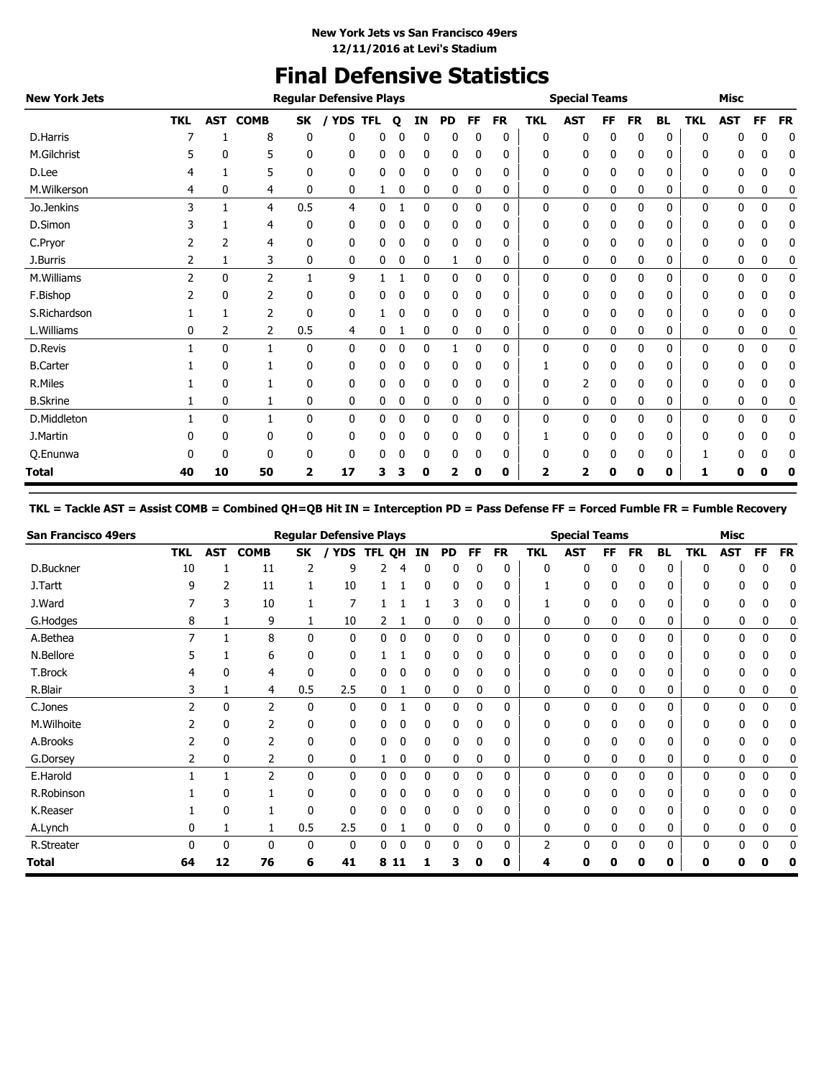# **Final Defensive Statistics**

| <b>New York Jets</b> |            |              |             |              | <b>Regular Defensive Plays</b> |            |   |    |           |              |           |            | <b>Special Teams</b> |           |           |           |            | <b>Misc</b> |           |           |
|----------------------|------------|--------------|-------------|--------------|--------------------------------|------------|---|----|-----------|--------------|-----------|------------|----------------------|-----------|-----------|-----------|------------|-------------|-----------|-----------|
|                      | <b>TKL</b> | <b>AST</b>   | <b>COMB</b> | <b>SK</b>    | <b>YDS</b>                     | <b>TFL</b> | Q | ΙN | <b>PD</b> | FF           | <b>FR</b> | <b>TKL</b> | <b>AST</b>           | <b>FF</b> | <b>FR</b> | <b>BL</b> | <b>TKL</b> | <b>AST</b>  | <b>FF</b> | <b>FR</b> |
| D.Harris             |            |              | 8           | 0            | 0                              | 0          | 0 | 0  | 0         | 0            | 0         | 0          | 0                    | 0         | 0         | 0         | 0          | 0           | 0         | 0         |
| M.Gilchrist          |            | 0            | 5           | 0            | 0                              | 0          | 0 | 0  | 0         | 0            | 0         | 0          | 0                    | 0         | 0         | 0         | 0          | 0           | 0         | 0         |
| D.Lee                |            |              | 5           | 0            | 0                              | 0          | 0 | 0  | 0         | 0            | 0         | 0          | 0                    | 0         | 0         | 0         | 0          | 0           | 0         | 0         |
| M.Wilkerson          | 4          | 0            | 4           | 0            | 0                              | 1          | 0 | 0  | 0         | 0            | 0         | 0          | 0                    | 0         | 0         | 0         | 0          | 0           | 0         | 0         |
| Jo.Jenkins           | 3          |              | 4           | 0.5          | 4                              | 0          |   | 0  | 0         | 0            | 0         | 0          | 0                    | 0         | 0         | 0         | 0          | 0           | 0         | 0         |
| D.Simon              |            |              | 4           | 0            | 0                              | 0          |   | 0  | 0         | 0            | 0         | 0          | 0                    | 0         | 0         | 0         | 0          | 0           | 0         | 0         |
| C.Pryor              | 2          | 2            | 4           | 0            | 0                              | 0          | 0 | 0  | 0         | 0            | 0         | 0          | 0                    | 0         | 0         | 0         | 0          | 0           | 0         | 0         |
| J.Burris             | 2          | 1            | 3           | 0            | 0                              | 0          | 0 | 0  | 1         | 0            | 0         | 0          | 0                    | 0         | 0         | 0         | 0          | 0           | 0         | 0         |
| M.Williams           | 2          | $\mathbf{0}$ | 2           | $\mathbf{1}$ | 9                              |            |   | 0  | 0         | $\mathbf{0}$ | 0         | 0          | 0                    | 0         | 0         | 0         | 0          | 0           | 0         | 0         |
| F.Bishop             |            | $\mathbf{0}$ | 2           | 0            | 0                              | 0          | 0 | 0  | 0         | 0            | 0         | 0          | 0                    | 0         | 0         | 0         | 0          | 0           | 0         | 0         |
| S.Richardson         |            |              | 2           | 0            | 0                              |            |   | 0  | 0         | 0            | 0         | 0          | 0                    | 0         | 0         | 0         | 0          | 0           | 0         | 0         |
| L.Williams           | 0          | 2            | 2           | 0.5          | 4                              | 0          |   | 0  | 0         | 0            | 0         | 0          | 0                    | 0         | 0         | 0         | 0          | 0           | 0         | 0         |
| D.Revis              |            | 0            | 1           | 0            | 0                              | 0          | 0 | 0  |           | 0            | 0         | 0          | 0                    | 0         | 0         | 0         | 0          | 0           | 0         | 0         |
| <b>B.Carter</b>      |            | 0            |             | 0            | 0                              | 0          |   | 0  | 0         | 0            | 0         |            | 0                    | 0         | 0         | 0         | 0          | 0           | 0         | 0         |
| R.Miles              |            | $\mathbf{0}$ |             | 0            | 0                              | 0          | 0 | 0  | 0         | 0            | 0         | 0          | 2                    | 0         | 0         | 0         | 0          | 0           | 0         | 0         |
| <b>B.Skrine</b>      |            | 0            | 1           | 0            | 0                              | 0          | 0 | 0  | 0         | 0            | 0         | 0          | 0                    | 0         | 0         | 0         | 0          | 0           | 0         | 0         |
| D.Middleton          |            | 0            | 1           | 0            | 0                              | 0          | 0 | 0  | 0         | 0            | 0         | 0          | 0                    | 0         | 0         | 0         | 0          | 0           | 0         | 0         |
| J.Martin             |            | 0            | 0           | 0            | 0                              | 0          | 0 | 0  | 0         | 0            | 0         |            | 0                    | 0         | 0         | 0         | 0          | 0           | 0         | 0         |
| Q.Enunwa             |            | 0            | 0           | 0            | 0                              | 0          | 0 | 0  | 0         | 0            | 0         | 0          | 0                    | 0         | 0         | 0         |            | 0           | 0         | 0         |
| <b>Total</b>         | 40         | 10           | 50          | 2            | 17                             | 3          | 3 | 0  | 2         | 0            | 0         | 2          | 2                    | 0         | 0         | 0         | 1          | 0           | O         | 0         |

# **TKL = Tackle AST = Assist COMB = Combined QH=QB Hit IN = Interception PD = Pass Defense FF = Forced Fumble FR = Fumble Recovery**

| <b>San Francisco 49ers</b> |            |            |                |              | <b>Reqular Defensive Plays</b> |               |    |              |           |              |           |            | <b>Special Teams</b> |    |           |           |            | Misc       |              |           |
|----------------------------|------------|------------|----------------|--------------|--------------------------------|---------------|----|--------------|-----------|--------------|-----------|------------|----------------------|----|-----------|-----------|------------|------------|--------------|-----------|
|                            | <b>TKL</b> | <b>AST</b> | <b>COMB</b>    | SK           | <b>YDS</b>                     | <b>TFL QH</b> |    | ΙN           | <b>PD</b> | FF           | <b>FR</b> | <b>TKL</b> | AST                  | FF | <b>FR</b> | <b>BL</b> | <b>TKL</b> | <b>AST</b> | <b>FF</b>    | <b>FR</b> |
| D.Buckner                  | 10         |            | 11             |              | 9                              | 2             | 4  | 0            | 0         |              | 0         | 0          | 0                    | 0  | 0         | ŋ         |            |            |              | 0         |
| J.Tartt                    | 9          | 2          | 11             |              | 10                             |               |    | 0            | 0         | 0            | 0         |            | 0                    | 0  | 0         | 0         |            | 0          | 0            | 0         |
| J.Ward                     |            | 3          | 10             |              | 7                              |               |    |              | 3         | 0            | 0         |            | 0                    | 0  | 0         | 0         | 0          | 0          | 0            | 0         |
| G.Hodges                   | 8          |            | 9              |              | 10                             | 2             |    | 0            | 0         | 0            | 0         | 0          | 0                    | 0  | 0         | 0         | 0          | 0          | 0            | 0         |
| A.Bethea                   |            |            | 8              | $\mathbf{0}$ | 0                              | 0             | 0  | 0            | 0         | 0            | 0         | 0          | 0                    | 0  | 0         | 0         | 0          | 0          | 0            | 0         |
| N.Bellore                  |            |            | 6              | 0            | 0                              |               |    | 0            | 0         |              | 0         |            | 0                    |    |           |           |            |            |              |           |
| T.Brock                    |            |            | 4              | 0            | 0                              | 0             |    |              | 0         |              | 0         |            | 0                    | 0  |           |           |            |            | 0            |           |
| R.Blair                    |            |            | 4              | 0.5          | 2.5                            | 0             |    | 0            | 0         | 0            | 0         | 0          | 0                    | 0  | 0         | 0         | 0          | 0          | 0            | 0         |
| C.Jones                    |            | 0          | $\overline{2}$ | $\mathbf{0}$ | $\mathbf{0}$                   | 0             |    | 0            | 0         | $\Omega$     | 0         | 0          | 0                    | 0  | 0         | 0         | 0          | 0          | $\mathbf{0}$ | 0         |
| M.Wilhoite                 |            | 0          | $\overline{2}$ | 0            | 0                              | 0             | ۵  | $\mathbf{0}$ | 0         | $\mathbf{0}$ | 0         | 0          | 0                    | 0  | 0         | 0         | 0          | 0          | 0            | 0         |
| A.Brooks                   |            | 0          | $\overline{2}$ | 0            | 0                              | 0             | 0  | 0            | 0         | 0            | 0         | 0          | 0                    | 0  | 0         | 0         | 0          | 0          | 0            |           |
| G.Dorsey                   |            | 0          | 2              | 0            | 0                              |               | 0  | 0            | 0         | 0            | 0         | 0          | 0                    | 0  | 0         | 0         | 0          | 0          | 0            | 0         |
| E.Harold                   |            |            | $\overline{2}$ | 0            | 0                              | 0             | 0  | 0            | 0         | 0            | 0         | 0          | 0                    | 0  | 0         | $\Omega$  | 0          | 0          | 0            | 0         |
| R.Robinson                 |            | 0          |                | 0            | 0                              | 0             |    |              | 0         |              | 0         | 0          | 0                    |    |           |           |            |            |              |           |
| K.Reaser                   |            | 0          |                | 0            | 0                              | 0             |    |              | 0         |              | 0         | 0          | 0                    | 0  |           | 0         |            | n          | 0            |           |
| A.Lynch                    | 0          |            |                | 0.5          | 2.5                            | 0             |    | 0            | 0         | 0            | 0         | 0          | 0                    | 0  | 0         | 0         | 0          | 0          | 0            | 0         |
| R.Streater                 |            | 0          | 0              | 0            | 0                              | 0             | 0  | $\Omega$     | 0         | $\Omega$     | 0         | 2          | 0                    | 0  | 0         | $\Omega$  | 0          | 0          | 0            | 0         |
| Total                      | 64         | 12         | 76             | 6            | 41                             | 8             | 11 |              | 3         | 0            | 0         |            | 0                    |    | 0         | 0         | 0          | Ω          |              | 0         |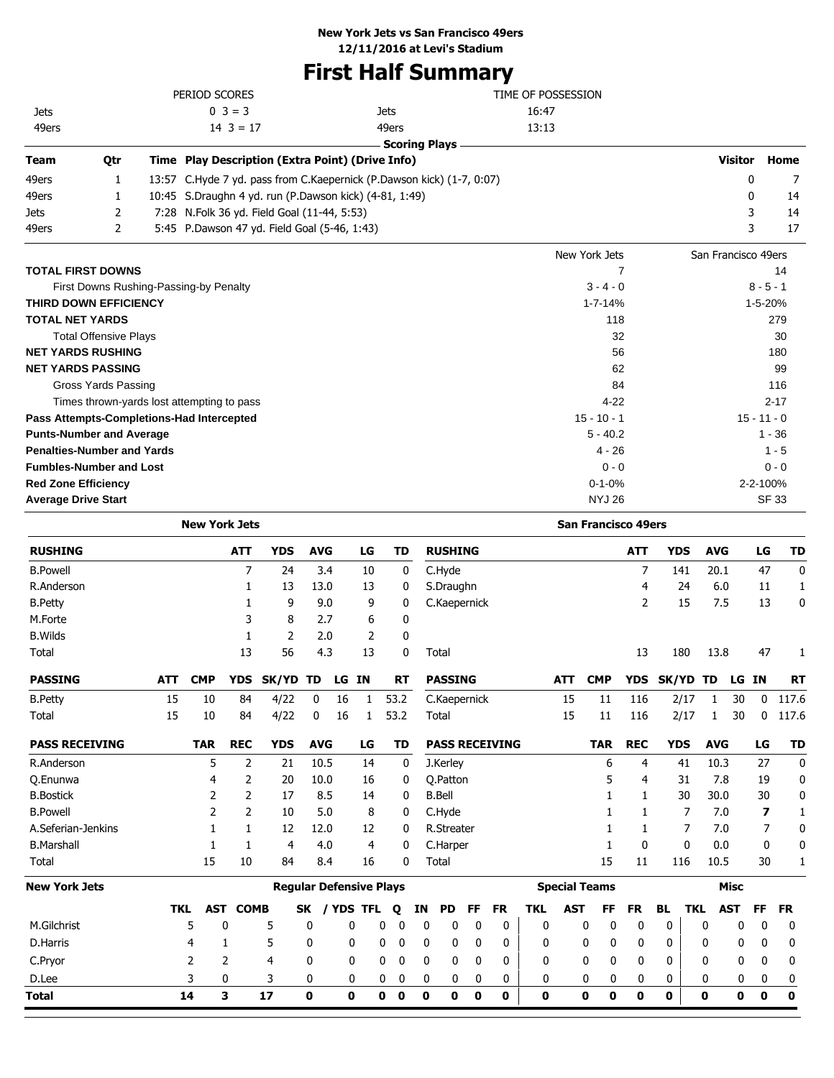# **First Half Summary**

|             |                                   | PERIOD SCORES                                          |                                                                       | TIME OF POSSESSION         |                     |               |
|-------------|-----------------------------------|--------------------------------------------------------|-----------------------------------------------------------------------|----------------------------|---------------------|---------------|
| <b>Jets</b> |                                   | $0 \ 3 = 3$                                            | <b>Jets</b>                                                           | 16:47                      |                     |               |
| 49ers       |                                   | $14 \ 3 = 17$                                          | 49ers                                                                 | 13:13                      |                     |               |
|             |                                   |                                                        | <b>Scoring Plays</b>                                                  |                            |                     |               |
| Team        | Qtr                               | Time Play Description (Extra Point) (Drive Info)       |                                                                       |                            | <b>Visitor Home</b> |               |
| 49ers       |                                   |                                                        | 13:57 C.Hyde 7 yd. pass from C.Kaepernick (P.Dawson kick) (1-7, 0:07) |                            | 0                   | 7             |
| 49ers       |                                   | 10:45 S.Draughn 4 yd. run (P.Dawson kick) (4-81, 1:49) |                                                                       |                            | $\Omega$            | 14            |
| Jets        | 2                                 | 7:28 N.Folk 36 yd. Field Goal (11-44, 5:53)            |                                                                       |                            | 3                   | 14            |
| 49ers       | 2                                 | 5:45 P.Dawson 47 yd. Field Goal (5-46, 1:43)           |                                                                       |                            | 3                   | 17            |
|             |                                   |                                                        |                                                                       | New York Jets              | San Francisco 49ers |               |
|             | <b>TOTAL FIRST DOWNS</b>          |                                                        |                                                                       |                            |                     | 14            |
|             |                                   | First Downs Rushing-Passing-by Penalty                 |                                                                       | $3 - 4 - 0$                |                     | $8 - 5 - 1$   |
|             | <b>THIRD DOWN EFFICIENCY</b>      |                                                        |                                                                       | $1 - 7 - 14%$              |                     | 1-5-20%       |
|             | <b>TOTAL NET YARDS</b>            |                                                        |                                                                       | 118                        |                     | 279           |
|             | <b>Total Offensive Plays</b>      |                                                        |                                                                       | 32                         |                     | 30            |
|             | <b>NET YARDS RUSHING</b>          |                                                        |                                                                       | 56                         |                     | 180           |
|             | <b>NET YARDS PASSING</b>          |                                                        |                                                                       | 62                         |                     | 99            |
|             | Gross Yards Passing               |                                                        |                                                                       | 84                         |                     | 116           |
|             |                                   | Times thrown-yards lost attempting to pass             |                                                                       | $4 - 22$                   |                     | $2 - 17$      |
|             |                                   | Pass Attempts-Completions-Had Intercepted              |                                                                       | $15 - 10 - 1$              |                     | $15 - 11 - 0$ |
|             | <b>Punts-Number and Average</b>   |                                                        |                                                                       | $5 - 40.2$                 |                     | $1 - 36$      |
|             | <b>Penalties-Number and Yards</b> |                                                        |                                                                       | $4 - 26$                   |                     | $1 - 5$       |
|             | <b>Fumbles-Number and Lost</b>    |                                                        |                                                                       | $0 - 0$                    |                     | $0 - 0$       |
|             | <b>Red Zone Efficiency</b>        |                                                        |                                                                       | $0 - 1 - 0%$               |                     | 2-2-100%      |
|             | <b>Average Drive Start</b>        |                                                        |                                                                       | <b>NYJ 26</b>              |                     | <b>SF 33</b>  |
|             |                                   | <b>New York Jets</b>                                   |                                                                       | <b>San Francisco 49ers</b> |                     |               |

| <b>RUSHING</b>        |            |            | <b>ATT</b>      | <b>YDS</b> | <b>AVG</b>   |                                | LG             |   | TD          |             | <b>RUSHING</b>    |             |                       |             |            |                      | <b>ATT</b>   | <b>YDS</b>   |              | <b>AVG</b>  |              | LG           | TD           |
|-----------------------|------------|------------|-----------------|------------|--------------|--------------------------------|----------------|---|-------------|-------------|-------------------|-------------|-----------------------|-------------|------------|----------------------|--------------|--------------|--------------|-------------|--------------|--------------|--------------|
| <b>B.Powell</b>       |            |            | 7               | 24         |              | 3.4                            | 10             |   | 0           |             | C.Hyde            |             |                       |             |            |                      | 7            |              | 141          | 20.1        |              | 47           | $\mathbf 0$  |
| R.Anderson            |            |            | 1               | 13         | 13.0         |                                | 13             |   | 0           |             | S.Draughn         |             |                       |             |            |                      | 4            |              | 24           | 6.0         |              | 11           | 1            |
| <b>B.Petty</b>        |            |            |                 | 9          |              | 9.0                            | 9              |   | 0           |             | C.Kaepernick      |             |                       |             |            |                      | 2            |              | 15           | 7.5         |              | 13           | $\mathbf 0$  |
| M.Forte               |            |            | 3               | 8          |              | 2.7                            | 6              |   | 0           |             |                   |             |                       |             |            |                      |              |              |              |             |              |              |              |
| <b>B.Wilds</b>        |            |            | 1               | 2          |              | 2.0                            | $\overline{2}$ |   | 0           |             |                   |             |                       |             |            |                      |              |              |              |             |              |              |              |
| Total                 |            |            | 13              | 56         |              | 4.3                            | 13             |   | 0           |             | Total             |             |                       |             |            |                      | 13           |              | 180          | 13.8        |              | 47           |              |
| <b>PASSING</b>        | <b>ATT</b> | <b>CMP</b> | <b>YDS</b>      | SK/YD      | TD           | LG IN                          |                |   | <b>RT</b>   |             | <b>PASSING</b>    |             |                       |             | <b>ATT</b> | <b>CMP</b>           | <b>YDS</b>   | <b>SK/YD</b> |              | TD          | LG           | <b>IN</b>    | <b>RT</b>    |
| <b>B.Petty</b>        | 15         | 10         | 84              | 4/22       | 0            | 16                             | 1              |   | 53.2        |             | C.Kaepernick      |             |                       |             | 15         | 11                   | 116          |              | 2/17         | 1           | 30           | $\mathbf{0}$ | 117.6        |
| Total                 | 15         | 10         | 84              | 4/22       | $\mathbf{0}$ | 16                             | $\mathbf{1}$   |   | 53.2        |             | Total             |             |                       |             | 15         | 11                   | 116          |              | 2/17         | 1           | 30           | 0            | 117.6        |
| <b>PASS RECEIVING</b> |            | <b>TAR</b> | <b>REC</b>      | <b>YDS</b> | <b>AVG</b>   |                                | LG             |   | TD          |             |                   |             | <b>PASS RECEIVING</b> |             |            | <b>TAR</b>           | <b>REC</b>   | <b>YDS</b>   |              | <b>AVG</b>  |              | LG           | <b>TD</b>    |
| R.Anderson            |            | 5          | 2               | 21         | 10.5         |                                | 14             |   | 0           |             | J.Kerley          |             |                       |             |            | 6                    | 4            |              | 41           | 10.3        |              | 27           | $\mathbf{0}$ |
| Q.Enunwa              |            | 4          | 2               | 20         | 10.0         |                                | 16             |   | 0           |             | O.Patton          |             |                       |             |            | 5                    | 4            |              | 31           | 7.8         |              | 19           | $\mathbf 0$  |
| <b>B.Bostick</b>      |            | 2          | 2               | 17         |              | 8.5                            | 14             |   | 0           |             | <b>B.Bell</b>     |             |                       |             |            |                      | 1            |              | 30           | 30.0        |              | 30           | 0            |
| <b>B.Powell</b>       |            | 2          | 2               | 10         |              | 5.0                            | 8              |   | 0           |             | C.Hyde            |             |                       |             |            |                      | 1            |              | 7            | 7.0         |              | 7            | 1            |
| A.Seferian-Jenkins    |            |            | 1               | 12         | 12.0         |                                | 12             |   | 0           |             | <b>R.Streater</b> |             |                       |             |            |                      | 1            |              | 7            | 7.0         |              | 7            | 0            |
| <b>B.Marshall</b>     |            | 1          | 1               | 4          |              | 4.0                            | $\overline{4}$ |   | 0           |             | C.Harper          |             |                       |             |            | 1                    | $\mathbf{0}$ |              | $\mathbf{0}$ | 0.0         |              | 0            | 0            |
| Total                 |            | 15         | 10              | 84         |              | 8.4                            | 16             |   | 0           |             | Total             |             |                       |             |            | 15                   | 11           |              | 116          | 10.5        |              | 30           | 1            |
| <b>New York Jets</b>  |            |            |                 |            |              | <b>Regular Defensive Plays</b> |                |   |             |             |                   |             |                       |             |            | <b>Special Teams</b> |              |              |              |             | <b>Misc</b>  |              |              |
|                       | <b>TKL</b> |            | <b>AST COMB</b> |            | SK           | / YDS TFL                      |                |   | Q           | ΙN          | <b>PD</b>         | FF          | <b>FR</b>             | <b>TKL</b>  | <b>AST</b> | FF                   | <b>FR</b>    | <b>BL</b>    | <b>TKL</b>   |             | <b>AST</b>   | <b>FF</b>    | <b>FR</b>    |
| M.Gilchrist           |            | 5<br>0     |                 | 5          | 0            | 0                              |                | 0 | 0           | 0           | 0                 | 0           | 0                     | 0           |            | 0<br>0               | $\mathbf 0$  | 0            |              | 0           | 0            | $\mathbf 0$  | 0            |
| D.Harris              |            | 4          | 1               | 5          | 0            | 0                              |                | 0 | 0           | 0           | 0                 | 0           | 0                     | 0           |            | 0<br>0               | 0            | 0            |              | 0           | $\mathbf{0}$ | 0            | 0            |
| C.Pryor               |            | 2          | 2               | 4          | 0            | 0                              |                | 0 | $\mathbf 0$ | 0           | 0                 | 0           | 0                     | 0           |            | 0<br>0               | 0            | 0            |              | 0           | 0            | 0            | 0            |
| D.Lee                 |            | 3          | 0               | 3          | 0            | 0                              |                | 0 | 0           | 0           | 0                 | 0           | 0                     | 0           |            | 0<br>0               | 0            | 0            |              | 0           | 0            | 0            | 0            |
| <b>Total</b>          |            | 14         | 3               | 17         | 0            | 0                              |                | 0 | $\mathbf 0$ | $\mathbf 0$ | 0                 | $\mathbf 0$ | $\mathbf 0$           | $\mathbf 0$ |            | $\mathbf 0$<br>0     | 0            | 0            |              | $\mathbf 0$ | 0            | $\mathbf 0$  | $\mathbf 0$  |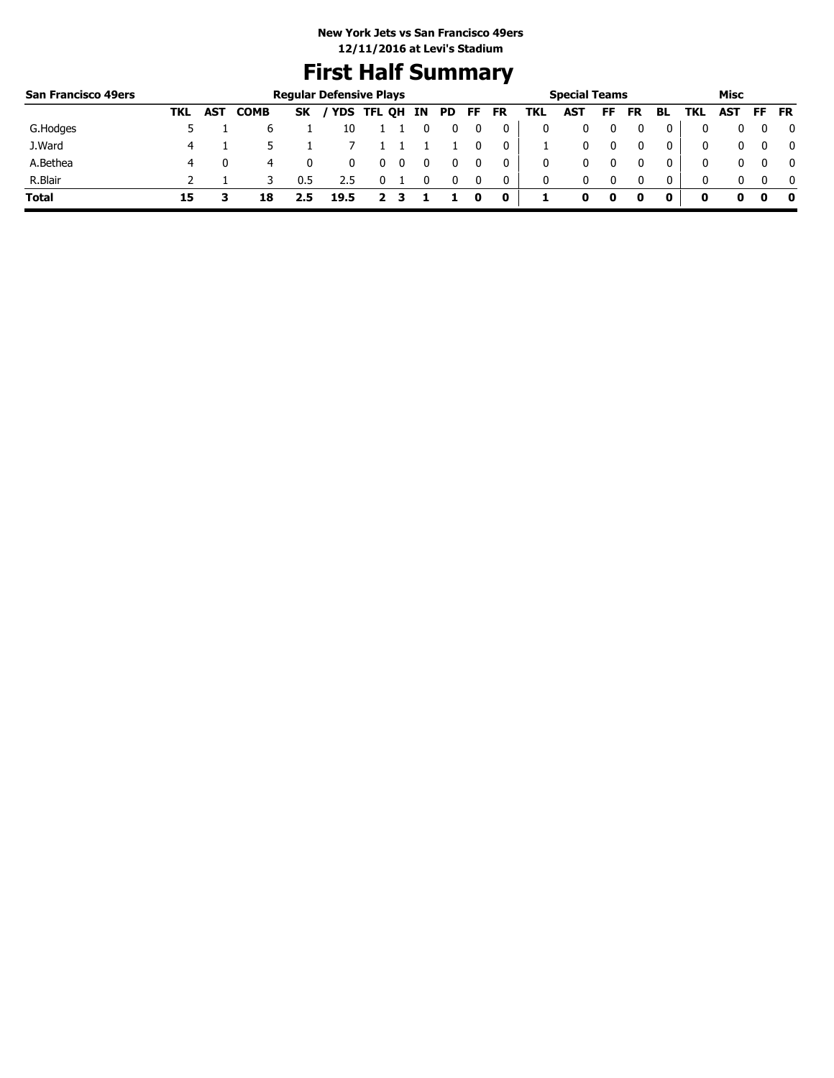# **First Half Summary**

| <b>San Francisco 49ers</b> |     |            |             |     | <b>Regular Defensive Plays</b> |  |      |     |             |     | <b>Special Teams</b> |    |    |              |     | Misc      |              |
|----------------------------|-----|------------|-------------|-----|--------------------------------|--|------|-----|-------------|-----|----------------------|----|----|--------------|-----|-----------|--------------|
|                            | TKL | <b>AST</b> | <b>COMB</b> | SK  | / YDS TFL QH IN                |  | PD 7 | FF. | <b>FR</b>   | TKL | AST                  | FF | FR | BL           | TKL | AST FF FR |              |
| G.Hodges                   |     |            | b           |     | 10                             |  |      |     |             |     |                      |    |    |              |     |           | 0            |
| J.Ward                     | 4   |            |             |     |                                |  |      |     | 0           |     | 0                    |    |    |              | 0   |           | $\mathbf{0}$ |
| A.Bethea                   | 4   |            | 4           |     |                                |  |      |     |             | 0   |                      |    |    |              | 0   |           | $\mathbf{0}$ |
| R.Blair                    |     |            |             | 0.5 | 2.5                            |  |      |     | 0           | 0   | 0                    |    |    | $\mathbf{0}$ | 0   |           | $\mathbf{0}$ |
| <b>Total</b>               | 15  |            | 18          |     | 19.5                           |  |      | o   | $\mathbf 0$ |     |                      | 0  |    |              |     |           | - 0          |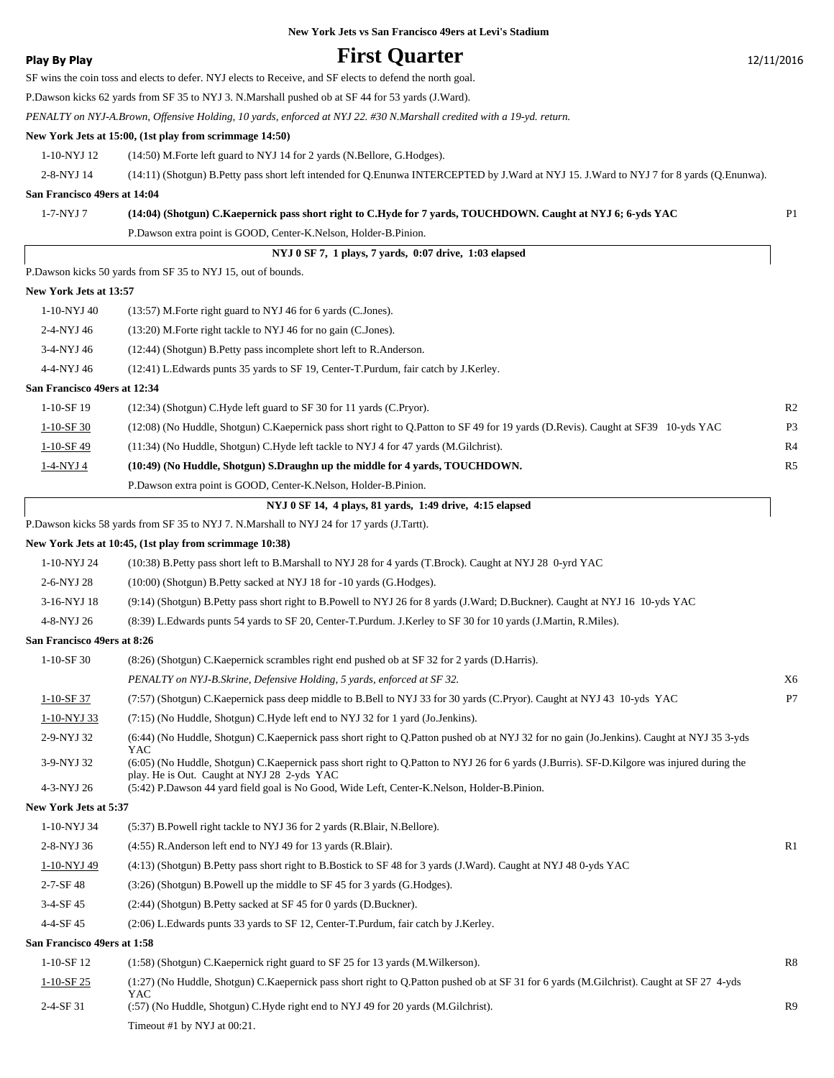# **Play By Play Play Play First Quarter** 12/11/2016

|                              | SF wins the coin toss and elects to defer. NYJ elects to Receive, and SF elects to defend the north goal.                                                                                         |                |
|------------------------------|---------------------------------------------------------------------------------------------------------------------------------------------------------------------------------------------------|----------------|
|                              | P.Dawson kicks 62 yards from SF 35 to NYJ 3. N.Marshall pushed ob at SF 44 for 53 yards (J.Ward).                                                                                                 |                |
|                              | PENALTY on NYJ-A.Brown, Offensive Holding, 10 yards, enforced at NYJ 22. #30 N.Marshall credited with a 19-yd. return.                                                                            |                |
|                              | New York Jets at 15:00, (1st play from scrimmage 14:50)                                                                                                                                           |                |
| 1-10-NYJ 12                  | (14:50) M.Forte left guard to NYJ 14 for 2 yards (N.Bellore, G.Hodges).                                                                                                                           |                |
| 2-8-NYJ 14                   | (14:11) (Shotgun) B.Petty pass short left intended for Q.Enunwa INTERCEPTED by J.Ward at NYJ 15. J.Ward to NYJ 7 for 8 yards (Q.Enunwa).                                                          |                |
| San Francisco 49ers at 14:04 |                                                                                                                                                                                                   |                |
| 1-7-NYJ 7                    | (14:04) (Shotgun) C.Kaepernick pass short right to C.Hyde for 7 yards, TOUCHDOWN. Caught at NYJ 6; 6-yds YAC                                                                                      | P <sub>1</sub> |
|                              | P.Dawson extra point is GOOD, Center-K.Nelson, Holder-B.Pinion.                                                                                                                                   |                |
|                              | NYJ 0 SF 7, 1 plays, 7 yards, 0:07 drive, 1:03 elapsed                                                                                                                                            |                |
|                              | P.Dawson kicks 50 yards from SF 35 to NYJ 15, out of bounds.                                                                                                                                      |                |
| New York Jets at 13:57       |                                                                                                                                                                                                   |                |
| 1-10-NYJ 40                  | (13:57) M. Forte right guard to NYJ 46 for 6 yards (C. Jones).                                                                                                                                    |                |
| 2-4-NYJ 46                   | (13:20) M. Forte right tackle to NYJ 46 for no gain (C. Jones).                                                                                                                                   |                |
| 3-4-NYJ 46                   | (12:44) (Shotgun) B. Petty pass incomplete short left to R. Anderson.                                                                                                                             |                |
| 4-4-NYJ 46                   | (12:41) L.Edwards punts 35 yards to SF 19, Center-T.Purdum, fair catch by J.Kerley.                                                                                                               |                |
| San Francisco 49ers at 12:34 |                                                                                                                                                                                                   |                |
| 1-10-SF 19                   | (12:34) (Shotgun) C.Hyde left guard to SF 30 for 11 yards (C.Pryor).                                                                                                                              | R <sub>2</sub> |
| $1 - 10 - SF$ 30             | (12:08) (No Huddle, Shotgun) C.Kaepernick pass short right to Q.Patton to SF 49 for 19 yards (D.Revis). Caught at SF39 10-yds YAC                                                                 | P <sub>3</sub> |
| $1-10-SF$ 49                 | (11:34) (No Huddle, Shotgun) C.Hyde left tackle to NYJ 4 for 47 yards (M.Gilchrist).                                                                                                              | R <sub>4</sub> |
| <u>1-4-NYJ 4</u>             | (10:49) (No Huddle, Shotgun) S.Draughn up the middle for 4 yards, TOUCHDOWN.                                                                                                                      | R <sub>5</sub> |
|                              | P.Dawson extra point is GOOD, Center-K.Nelson, Holder-B.Pinion.                                                                                                                                   |                |
|                              | NYJ 0 SF 14, 4 plays, 81 yards, 1:49 drive, 4:15 elapsed                                                                                                                                          |                |
|                              | P.Dawson kicks 58 yards from SF 35 to NYJ 7. N.Marshall to NYJ 24 for 17 yards (J.Tartt).                                                                                                         |                |
|                              | New York Jets at 10:45, (1st play from scrimmage 10:38)                                                                                                                                           |                |
| 1-10-NYJ 24                  | (10:38) B.Petty pass short left to B.Marshall to NYJ 28 for 4 yards (T.Brock). Caught at NYJ 28 0-yrd YAC                                                                                         |                |
| 2-6-NYJ 28                   | (10:00) (Shotgun) B.Petty sacked at NYJ 18 for -10 yards (G.Hodges).                                                                                                                              |                |
| 3-16-NYJ 18                  | (9:14) (Shotgun) B.Petty pass short right to B.Powell to NYJ 26 for 8 yards (J.Ward; D.Buckner). Caught at NYJ 16 10-yds YAC                                                                      |                |
| 4-8-NYJ 26                   | (8:39) L.Edwards punts 54 yards to SF 20, Center-T.Purdum. J.Kerley to SF 30 for 10 yards (J.Martin, R.Miles).                                                                                    |                |
| San Francisco 49ers at 8:26  |                                                                                                                                                                                                   |                |
| $1-10-SF30$                  | (8:26) (Shotgun) C.Kaepernick scrambles right end pushed ob at SF 32 for 2 yards (D.Harris).                                                                                                      |                |
|                              | PENALTY on NYJ-B.Skrine, Defensive Holding, 5 yards, enforced at SF 32.                                                                                                                           | X6             |
| 1-10-SF 37                   | (7:57) (Shotgun) C.Kaepernick pass deep middle to B.Bell to NYJ 33 for 30 yards (C.Pryor). Caught at NYJ 43 10-yds YAC                                                                            | ${\bf P}7$     |
| 1-10-NYJ 33                  | (7:15) (No Huddle, Shotgun) C.Hyde left end to NYJ 32 for 1 yard (Jo.Jenkins).                                                                                                                    |                |
| 2-9-NYJ 32                   | (6:44) (No Huddle, Shotgun) C.Kaepernick pass short right to Q.Patton pushed ob at NYJ 32 for no gain (Jo.Jenkins). Caught at NYJ 35 3-yds                                                        |                |
| 3-9-NYJ 32                   | YAC<br>(6:05) (No Huddle, Shotgun) C.Kaepernick pass short right to Q.Patton to NYJ 26 for 6 yards (J.Burris). SF-D.Kilgore was injured during the<br>play. He is Out. Caught at NYJ 28 2-yds YAC |                |
| 4-3-NYJ 26                   | (5:42) P.Dawson 44 yard field goal is No Good, Wide Left, Center-K.Nelson, Holder-B.Pinion.                                                                                                       |                |
| New York Jets at 5:37        |                                                                                                                                                                                                   |                |
| 1-10-NYJ 34                  | (5:37) B. Powell right tackle to NYJ 36 for 2 yards (R. Blair, N. Bellore).                                                                                                                       |                |
| 2-8-NYJ 36                   | (4:55) R.Anderson left end to NYJ 49 for 13 yards (R.Blair).                                                                                                                                      | R1             |
| 1-10-NYJ 49                  | (4:13) (Shotgun) B.Petty pass short right to B.Bostick to SF 48 for 3 yards (J.Ward). Caught at NYJ 48 0-yds YAC                                                                                  |                |
| $2 - 7 - SF$ 48              | (3:26) (Shotgun) B.Powell up the middle to SF 45 for 3 yards (G.Hodges).                                                                                                                          |                |
| 3-4-SF 45                    | (2:44) (Shotgun) B.Petty sacked at SF 45 for 0 yards (D.Buckner).                                                                                                                                 |                |
| 4-4-SF 45                    | (2:06) L.Edwards punts 33 yards to SF 12, Center-T.Purdum, fair catch by J.Kerley.                                                                                                                |                |
| San Francisco 49ers at 1:58  |                                                                                                                                                                                                   |                |
| $1-10-SF12$                  | (1:58) (Shotgun) C.Kaepernick right guard to SF 25 for 13 yards (M.Wilkerson).                                                                                                                    | R8             |
| $1 - 10 - SF$ 25             | (1:27) (No Huddle, Shotgun) C.Kaepernick pass short right to Q.Patton pushed ob at SF 31 for 6 yards (M.Gilchrist). Caught at SF 27 4-yds                                                         |                |
| $2 - 4 - SF31$               | YAC<br>(:57) (No Huddle, Shotgun) C.Hyde right end to NYJ 49 for 20 yards (M.Gilchrist).                                                                                                          | R <sub>9</sub> |
|                              | Timeout #1 by NYJ at 00:21.                                                                                                                                                                       |                |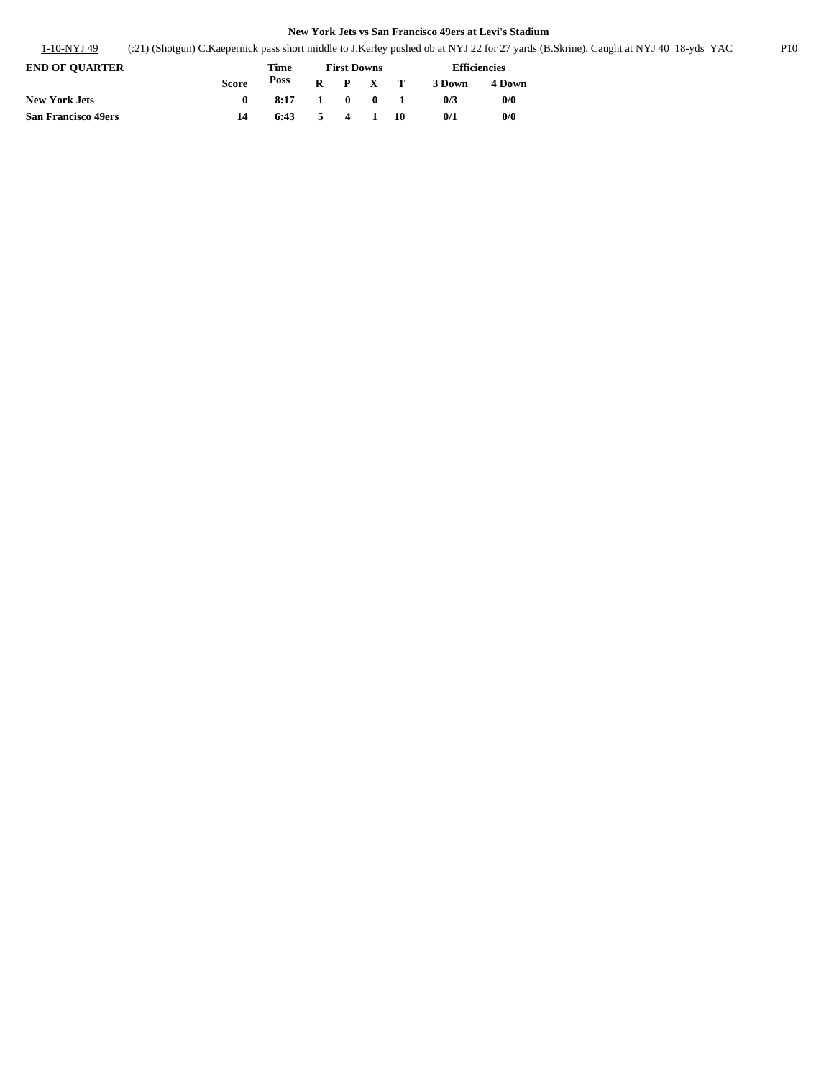|  | 1-10-NYJ 49 | (21) (Shotgun) C.Kaepernick pass short middle to J.Kerley pushed ob at NYJ 22 for 27 yards (B.Skrine). Caught at NYJ 40 18-yds YAC |  |  | P10 |
|--|-------------|------------------------------------------------------------------------------------------------------------------------------------|--|--|-----|
|--|-------------|------------------------------------------------------------------------------------------------------------------------------------|--|--|-----|

| <b>END OF OUARTER</b>      |              | Time                                        | <b>First Downs</b> |         |  |  | <b>Efficiencies</b> |        |
|----------------------------|--------------|---------------------------------------------|--------------------|---------|--|--|---------------------|--------|
|                            | <b>Score</b> | Poss                                        |                    | R P X T |  |  | 3 Down              | 4 Down |
| <b>New York Jets</b>       | $\mathbf{0}$ | 8:17 1 0 0 1                                |                    |         |  |  | 0/3                 | 0/0    |
| <b>San Francisco 49ers</b> | 14           | $6:43 \qquad 5 \qquad 4 \qquad 1 \qquad 10$ |                    |         |  |  | 0/1                 | 0/0    |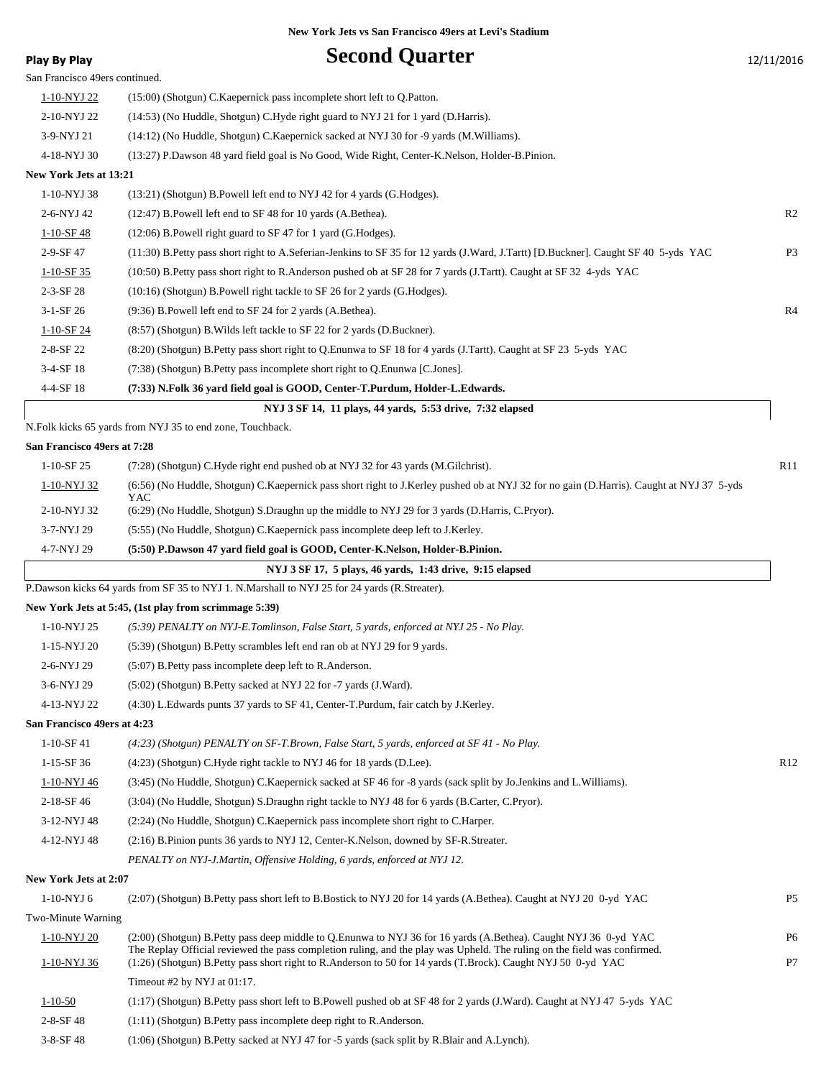| <b>Play By Play</b>            | <b>Second Quarter</b>                                                                                                                                                                                                                    | 12/11/2016     |
|--------------------------------|------------------------------------------------------------------------------------------------------------------------------------------------------------------------------------------------------------------------------------------|----------------|
| San Francisco 49ers continued. |                                                                                                                                                                                                                                          |                |
| 1-10-NYJ 22                    | (15:00) (Shotgun) C. Kaepernick pass incomplete short left to Q. Patton.                                                                                                                                                                 |                |
| 2-10-NYJ 22                    | (14:53) (No Huddle, Shotgun) C.Hyde right guard to NYJ 21 for 1 yard (D.Harris).                                                                                                                                                         |                |
| 3-9-NYJ 21                     | (14:12) (No Huddle, Shotgun) C. Kaepernick sacked at NYJ 30 for -9 yards (M. Williams).                                                                                                                                                  |                |
| 4-18-NYJ 30                    | (13:27) P.Dawson 48 yard field goal is No Good, Wide Right, Center-K.Nelson, Holder-B.Pinion.                                                                                                                                            |                |
| New York Jets at 13:21         |                                                                                                                                                                                                                                          |                |
| 1-10-NYJ 38                    | (13:21) (Shotgun) B. Powell left end to NYJ 42 for 4 yards (G. Hodges).                                                                                                                                                                  |                |
| 2-6-NYJ 42                     | (12:47) B. Powell left end to SF 48 for 10 yards (A. Bethea).                                                                                                                                                                            | R <sub>2</sub> |
| $1 - 10 - SF$ 48               | (12:06) B.Powell right guard to SF 47 for 1 yard (G.Hodges).                                                                                                                                                                             |                |
| 2-9-SF 47                      | (11:30) B.Petty pass short right to A.Seferian-Jenkins to SF 35 for 12 yards (J.Ward, J.Tartt) [D.Buckner]. Caught SF 40 5-yds YAC                                                                                                       | P <sub>3</sub> |
| $1 - 10 - SF$ 35               | (10:50) B.Petty pass short right to R.Anderson pushed ob at SF 28 for 7 yards (J.Tartt). Caught at SF 32 4-yds YAC                                                                                                                       |                |
| $2 - 3 - SF$ 28                | (10:16) (Shotgun) B.Powell right tackle to SF 26 for 2 yards (G.Hodges).                                                                                                                                                                 |                |
| $3-1-SF26$                     | (9:36) B.Powell left end to SF 24 for 2 yards (A.Bethea).                                                                                                                                                                                | R <sub>4</sub> |
| $1 - 10 - SF$ 24               | (8:57) (Shotgun) B. Wilds left tackle to SF 22 for 2 yards (D. Buckner).                                                                                                                                                                 |                |
| 2-8-SF 22                      | (8:20) (Shotgun) B.Petty pass short right to Q.Enunwa to SF 18 for 4 yards (J.Tartt). Caught at SF 23 5-yds YAC                                                                                                                          |                |
| 3-4-SF 18                      | (7:38) (Shotgun) B. Petty pass incomplete short right to Q. Enunwa [C. Jones].                                                                                                                                                           |                |
| 4-4-SF 18                      | (7:33) N.Folk 36 yard field goal is GOOD, Center-T.Purdum, Holder-L.Edwards.                                                                                                                                                             |                |
|                                | NYJ 3 SF 14, 11 plays, 44 yards, 5:53 drive, 7:32 elapsed                                                                                                                                                                                |                |
|                                | N.Folk kicks 65 yards from NYJ 35 to end zone, Touchback.                                                                                                                                                                                |                |
| San Francisco 49ers at 7:28    |                                                                                                                                                                                                                                          |                |
| $1-10-SF25$                    | (7:28) (Shotgun) C.Hyde right end pushed ob at NYJ 32 for 43 yards (M.Gilchrist).                                                                                                                                                        | R11            |
| 1-10-NYJ 32                    | (6:56) (No Huddle, Shotgun) C.Kaepernick pass short right to J.Kerley pushed ob at NYJ 32 for no gain (D.Harris). Caught at NYJ 37 5-yds                                                                                                 |                |
|                                | YAC                                                                                                                                                                                                                                      |                |
| 2-10-NYJ 32                    | (6:29) (No Huddle, Shotgun) S.Draughn up the middle to NYJ 29 for 3 yards (D.Harris, C.Pryor).                                                                                                                                           |                |
| 3-7-NYJ 29                     | (5:55) (No Huddle, Shotgun) C. Kaepernick pass incomplete deep left to J. Kerley.                                                                                                                                                        |                |
| 4-7-NYJ 29                     | (5:50) P.Dawson 47 yard field goal is GOOD, Center-K.Nelson, Holder-B.Pinion.                                                                                                                                                            |                |
|                                | NYJ 3 SF 17, 5 plays, 46 yards, 1:43 drive, 9:15 elapsed                                                                                                                                                                                 |                |
|                                | P.Dawson kicks 64 yards from SF 35 to NYJ 1. N.Marshall to NYJ 25 for 24 yards (R.Streater).                                                                                                                                             |                |
|                                | New York Jets at 5:45, (1st play from scrimmage 5:39)                                                                                                                                                                                    |                |
| 1-10-NYJ 25                    | (5:39) PENALTY on NYJ-E.Tomlinson, False Start, 5 yards, enforced at NYJ 25 - No Play.                                                                                                                                                   |                |
| 1-15-NYJ 20                    | (5:39) (Shotgun) B. Petty scrambles left end ran ob at NYJ 29 for 9 yards.                                                                                                                                                               |                |
| 2-6-NYJ 29                     | (5:07) B. Petty pass incomplete deep left to R. Anderson.                                                                                                                                                                                |                |
| 3-6-NYJ 29                     | (5:02) (Shotgun) B.Petty sacked at NYJ 22 for -7 yards (J.Ward).                                                                                                                                                                         |                |
| 4-13-NYJ 22                    | (4:30) L.Edwards punts 37 yards to SF 41, Center-T.Purdum, fair catch by J.Kerley.                                                                                                                                                       |                |
| San Francisco 49ers at 4:23    |                                                                                                                                                                                                                                          |                |
| $1-10-SF41$                    | (4:23) (Shotgun) PENALTY on SF-T.Brown, False Start, 5 yards, enforced at SF 41 - No Play.                                                                                                                                               |                |
| 1-15-SF 36                     | (4:23) (Shotgun) C.Hyde right tackle to NYJ 46 for 18 yards (D.Lee).                                                                                                                                                                     | R12            |
| 1-10-NYJ 46                    | (3:45) (No Huddle, Shotgun) C. Kaepernick sacked at SF 46 for -8 yards (sack split by Jo. Jenkins and L. Williams).                                                                                                                      |                |
| 2-18-SF 46                     | (3:04) (No Huddle, Shotgun) S.Draughn right tackle to NYJ 48 for 6 yards (B.Carter, C.Pryor).                                                                                                                                            |                |
| 3-12-NYJ 48                    | (2:24) (No Huddle, Shotgun) C. Kaepernick pass incomplete short right to C. Harper.                                                                                                                                                      |                |
| 4-12-NYJ 48                    | (2:16) B.Pinion punts 36 yards to NYJ 12, Center-K.Nelson, downed by SF-R.Streater.                                                                                                                                                      |                |
|                                | PENALTY on NYJ-J.Martin, Offensive Holding, 6 yards, enforced at NYJ 12.                                                                                                                                                                 |                |
| New York Jets at 2:07          |                                                                                                                                                                                                                                          |                |
| $1-10-NYJ$ 6                   | (2:07) (Shotgun) B.Petty pass short left to B.Bostick to NYJ 20 for 14 yards (A.Bethea). Caught at NYJ 20 0-yd YAC                                                                                                                       | P <sub>5</sub> |
| Two-Minute Warning             |                                                                                                                                                                                                                                          |                |
| 1-10-NYJ 20                    | (2:00) (Shotgun) B.Petty pass deep middle to Q.Enunwa to NYJ 36 for 16 yards (A.Bethea). Caught NYJ 36 0-yd YAC                                                                                                                          | P <sub>6</sub> |
| 1-10-NYJ 36                    | The Replay Official reviewed the pass completion ruling, and the play was Upheld. The ruling on the field was confirmed.<br>(1:26) (Shotgun) B.Petty pass short right to R.Anderson to 50 for 14 yards (T.Brock). Caught NYJ 50 0-yd YAC | P7             |
|                                | Timeout $#2$ by NYJ at $01:17$ .                                                                                                                                                                                                         |                |
| $1 - 10 - 50$                  | (1:17) (Shotgun) B.Petty pass short left to B.Powell pushed ob at SF 48 for 2 yards (J.Ward). Caught at NYJ 47 5-yds YAC                                                                                                                 |                |
| $2 - 8 - SF$ 48                | (1:11) (Shotgun) B. Petty pass incomplete deep right to R. Anderson.                                                                                                                                                                     |                |
|                                |                                                                                                                                                                                                                                          |                |

3-8-SF 48 (1:06) (Shotgun) B.Petty sacked at NYJ 47 for -5 yards (sack split by R.Blair and A.Lynch).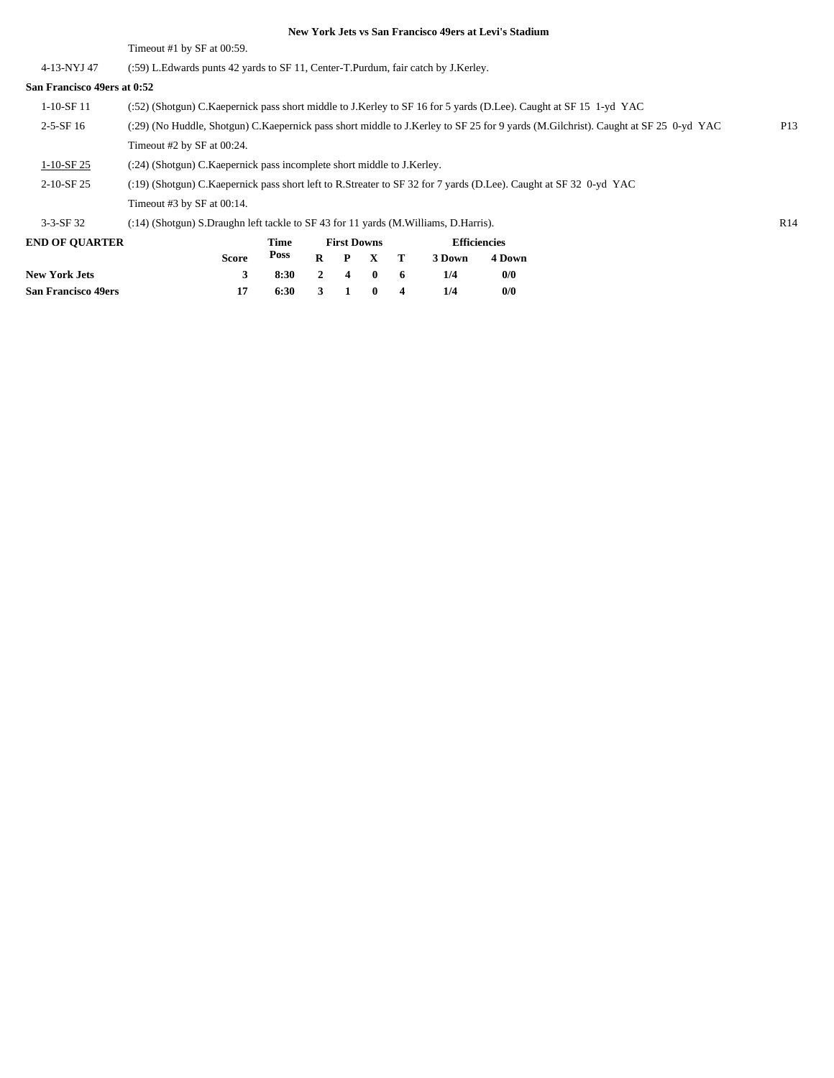Timeout #1 by SF at 00:59.

4-13-NYJ 47 (:59) L.Edwards punts 42 yards to SF 11, Center-T.Purdum, fair catch by J.Kerley.

# **San Francisco 49ers at 0:52**

| San Francisco 49ers at 0:52 |                                                                                                                                    |                 |
|-----------------------------|------------------------------------------------------------------------------------------------------------------------------------|-----------------|
| 1-10-SF 11                  | (:52) (Shotgun) C.Kaepernick pass short middle to J.Kerley to SF 16 for 5 yards (D.Lee). Caught at SF 15 1-yd YAC                  |                 |
| $2-5-SF16$                  | (:29) (No Huddle, Shotgun) C.Kaepernick pass short middle to J.Kerley to SF 25 for 9 yards (M.Gilchrist). Caught at SF 25 0-yd YAC | P <sub>13</sub> |
|                             | Timeout #2 by SF at $00:24$ .                                                                                                      |                 |
| $1-10-SF25$                 | (:24) (Shotgun) C. Kaepernick pass incomplete short middle to J. Kerley.                                                           |                 |
| $2-10-SF25$                 | (:19) (Shotgun) C.Kaepernick pass short left to R.Streater to SF 32 for 7 yards (D.Lee). Caught at SF 32 0-yd YAC                  |                 |
|                             | Timeout #3 by SF at $00:14$ .                                                                                                      |                 |
| $3-3-$ SF 32                | (:14) (Shotgun) S.Draughn left tackle to SF 43 for 11 yards (M.Williams, D.Harris).                                                | R <sub>14</sub> |
|                             |                                                                                                                                    |                 |

| <b>END OF OUARTER</b>      |       | Time         | <b>First Downs</b> |  |                 |  | <b>Efficiencies</b> |        |  |
|----------------------------|-------|--------------|--------------------|--|-----------------|--|---------------------|--------|--|
|                            | Score | Poss         |                    |  | $R$ $P$ $X$ $T$ |  | 3 Down              | 4 Down |  |
| <b>New York Jets</b>       | 3     | 8:30 2 4 0 6 |                    |  |                 |  | 1/4                 | 0/0    |  |
| <b>San Francisco 49ers</b> | 17    | 6:30         | 3 1 0 4            |  |                 |  | 1/4                 | 0/0    |  |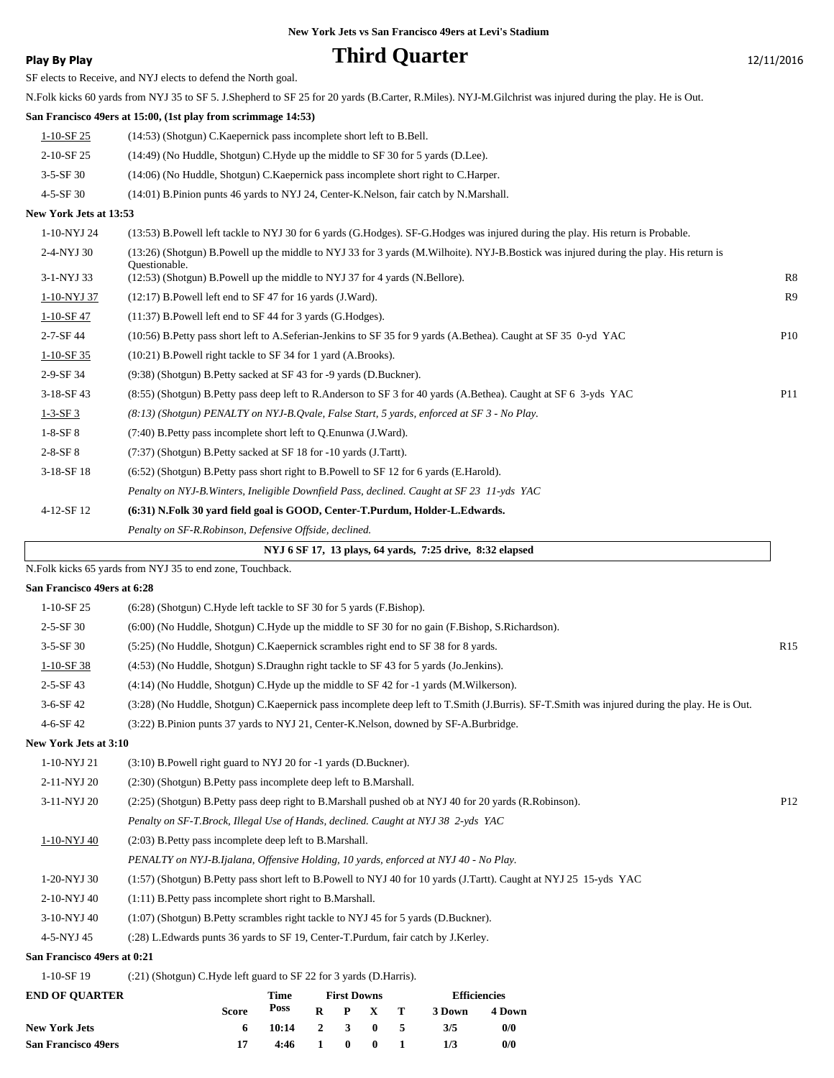# **Play By Play Play Play Play Play By Play Play By Play Play By Play Play Play Play Play Play Play Play Play Play Play Play Play Play Play Play Play Play Play Play Play**

SF elects to Receive, and NYJ elects to defend the North goal.

N.Folk kicks 60 yards from NYJ 35 to SF 5. J.Shepherd to SF 25 for 20 yards (B.Carter, R.Miles). NYJ-M.Gilchrist was injured during the play. He is Out.

## **San Francisco 49ers at 15:00, (1st play from scrimmage 14:53)**

| 1-10-SF 25      | $(14:53)$ (Shotgun) C. Kaepernick pass incomplete short left to B. Bell.               |
|-----------------|----------------------------------------------------------------------------------------|
| $2-10-$ SF 25   | (14:49) (No Huddle, Shotgun) C.Hyde up the middle to SF 30 for 5 yards (D.Lee).        |
| $3 - 5 - SF$ 30 | $(14:06)$ (No Huddle, Shotgun) C. Kaepernick pass incomplete short right to C. Harper. |
|                 | .                                                                                      |

# 4-5-SF 30 (14:01) B.Pinion punts 46 yards to NYJ 24, Center-K.Nelson, fair catch by N.Marshall.

## **New York Jets at 13:53**

| 1-10-NYJ 24     | (13:53) B. Powell left tackle to NYJ 30 for 6 yards (G. Hodges). SF-G. Hodges was injured during the play. His return is Probable.                     |                 |
|-----------------|--------------------------------------------------------------------------------------------------------------------------------------------------------|-----------------|
| 2-4-NYJ 30      | (13:26) (Shotgun) B.Powell up the middle to NYJ 33 for 3 yards (M.Wilhoite). NYJ-B.Bostick was injured during the play. His return is<br>Questionable. |                 |
| 3-1-NYJ 33      | (12:53) (Shotgun) B. Powell up the middle to NYJ 37 for 4 yards (N. Bellore).                                                                          | R8              |
| 1-10-NYJ 37     | $(12:17)$ B. Powell left end to SF 47 for 16 yards $(J.Ward)$ .                                                                                        | R <sub>9</sub>  |
| 1-10-SF 47      | $(11:37)$ B. Powell left end to SF 44 for 3 yards $(G.Hodges)$ .                                                                                       |                 |
| $2 - 7 - SF$ 44 | (10:56) B. Petty pass short left to A. Seferian-Jenkins to SF 35 for 9 yards (A. Bethea). Caught at SF 35 0-yd YAC                                     | P <sub>10</sub> |
| $1-10-SF35$     | (10:21) B. Powell right tackle to SF 34 for 1 yard (A. Brooks).                                                                                        |                 |
| 2-9-SF 34       | (9:38) (Shotgun) B. Petty sacked at SF 43 for -9 yards (D. Buckner).                                                                                   |                 |
| $3-18-SF43$     | (8:55) (Shotgun) B.Petty pass deep left to R.Anderson to SF 3 for 40 yards (A.Bethea). Caught at SF 6 3-yds YAC                                        | P <sub>11</sub> |
| $1 - 3 - SF3$   | $(8.13)$ (Shotgun) PENALTY on NYJ-B.Qyale, False Start, 5 yards, enforced at SF 3 - No Play.                                                           |                 |
| $1-8-SF8$       | (7:40) B. Petty pass incomplete short left to Q. Enunwa (J. Ward).                                                                                     |                 |
| $2 - 8 - SF 8$  | (7:37) (Shotgun) B. Petty sacked at SF 18 for -10 yards (J. Tartt).                                                                                    |                 |
| $3-18-SF18$     | $(6.52)$ (Shotgun) B. Petty pass short right to B. Powell to SF 12 for 6 yards (E. Harold).                                                            |                 |
|                 | Penalty on NYJ-B. Winters, Ineligible Downfield Pass, declined. Caught at SF 23 11-yds YAC                                                             |                 |
| 4-12-SF 12      | (6:31) N.Folk 30 yard field goal is GOOD, Center-T.Purdum, Holder-L.Edwards.                                                                           |                 |
|                 | Penalty on SF-R.Robinson, Defensive Offside, declined.                                                                                                 |                 |

## **NYJ 6 SF 17, 13 plays, 64 yards, 7:25 drive, 8:32 elapsed**

N.Folk kicks 65 yards from NYJ 35 to end zone, Touchback.

### **San Francisco 49ers at 6:28**

| END OF OUA DTED              | Timo<br><b>Efficiancias</b><br>First Downs                                                                                                   |                 |
|------------------------------|----------------------------------------------------------------------------------------------------------------------------------------------|-----------------|
| $1-10-SF$ 19                 | (:21) (Shotgun) C.Hyde left guard to SF 22 for 3 yards (D.Harris).                                                                           |                 |
| San Francisco 49ers at 0:21  |                                                                                                                                              |                 |
| 4-5-NYJ 45                   | (:28) L.Edwards punts 36 yards to SF 19, Center-T.Purdum, fair catch by J.Kerley.                                                            |                 |
| 3-10-NYJ 40                  | $(1:07)$ (Shotgun) B. Petty scrambles right tackle to NYJ 45 for 5 yards (D. Buckner).                                                       |                 |
| 2-10-NYJ 40                  | $(1:11)$ B. Petty pass incomplete short right to B. Marshall.                                                                                |                 |
| 1-20-NYJ 30                  | (1:57) (Shotgun) B.Petty pass short left to B.Powell to NYJ 40 for 10 yards (J.Tartt). Caught at NYJ 25 15-yds YAC                           |                 |
|                              | PENALTY on NYJ-B.Ijalana, Offensive Holding, 10 yards, enforced at NYJ 40 - No Play.                                                         |                 |
| 1-10-NYJ 40                  | (2:03) B. Petty pass incomplete deep left to B. Marshall.                                                                                    |                 |
|                              | Penalty on SF-T.Brock, Illegal Use of Hands, declined. Caught at NYJ 38 2-vds YAC                                                            |                 |
| 3-11-NYJ 20                  | (2:25) (Shotgun) B.Petty pass deep right to B.Marshall pushed ob at NYJ 40 for 20 yards (R.Robinson).                                        | P <sub>12</sub> |
| 2-11-NYJ 20                  | (2:30) (Shotgun) B. Petty pass incomplete deep left to B. Marshall.                                                                          |                 |
| 1-10-NYJ 21                  | (3:10) B.Powell right guard to NYJ 20 for -1 yards (D.Buckner).                                                                              |                 |
| <b>New York Jets at 3:10</b> |                                                                                                                                              |                 |
| $4 - 6 - SF$ 42              | (3:22) B. Pinion punts 37 yards to NYJ 21, Center-K. Nelson, downed by SF-A. Burbridge.                                                      |                 |
| $3-6-$ SF 42                 | (3:28) (No Huddle, Shotgun) C.Kaepernick pass incomplete deep left to T.Smith (J.Burris). SF-T.Smith was injured during the play. He is Out. |                 |
| $2 - 5 - SF$ 43              | $(4:14)$ (No Huddle, Shotgun) C. Hyde up the middle to SF 42 for -1 yards (M. Wilkerson).                                                    |                 |
| $1-10-SF38$                  | (4.53) (No Huddle, Shotgun) S.Draughn right tackle to SF 43 for 5 yards (Jo.Jenkins).                                                        |                 |
| $3-5-SF30$                   | (5:25) (No Huddle, Shotgun) C. Kaepernick scrambles right end to SF 38 for 8 yards.                                                          | R15             |
| $2 - 5 - SF$ 30              | (6:00) (No Huddle, Shotgun) C.Hyde up the middle to SF 30 for no gain (F.Bishop, S.Richardson).                                              |                 |
| $1-10-SF25$                  | (6:28) (Shotgun) C.Hyde left tackle to SF 30 for 5 yards (F.Bishop).                                                                         |                 |
|                              |                                                                                                                                              |                 |

| <b>END OF OUARTER</b>      |              | Time            |              |              | <b>First Downs</b>      |              | <b>Efficiencies</b> |        |
|----------------------------|--------------|-----------------|--------------|--------------|-------------------------|--------------|---------------------|--------|
|                            | <b>Score</b> | Poss            |              |              | $R$ $P$ $X$ $T$         |              | 3 Down              | 4 Down |
| <b>New York Jets</b>       | 6.           | $10:14$ 2 3 0 5 |              |              |                         |              | 3/5                 | 0/0    |
| <b>San Francisco 49ers</b> |              | 4:46            | $\mathbf{1}$ | $\mathbf{0}$ | $\overline{\mathbf{0}}$ | $\mathbf{I}$ | 1/3                 | 0/0    |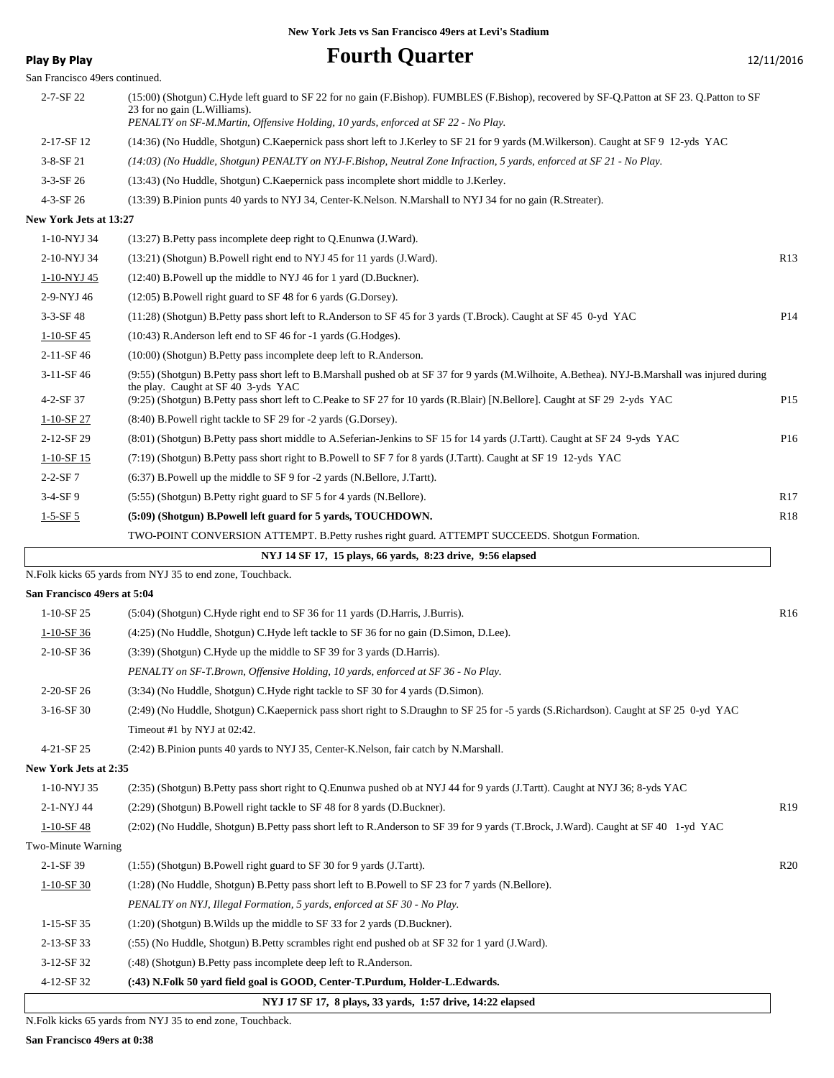**Play By Play Play Play Play Play Play Play Play Play Play Play Play Play Play Play Play Play Play Play Play Play Play Play Play Play Play Play Play Play Play Pla** 

| San Francisco 49ers continued. |                                                                                                                                                                                                                                                                  |                 |
|--------------------------------|------------------------------------------------------------------------------------------------------------------------------------------------------------------------------------------------------------------------------------------------------------------|-----------------|
| 2-7-SF 22                      | (15:00) (Shotgun) C.Hyde left guard to SF 22 for no gain (F.Bishop). FUMBLES (F.Bishop), recovered by SF-Q.Patton at SF 23. Q.Patton to SF<br>23 for no gain (L. Williams).<br>PENALTY on SF-M.Martin, Offensive Holding, 10 yards, enforced at SF 22 - No Play. |                 |
| 2-17-SF 12                     | (14:36) (No Huddle, Shotgun) C.Kaepernick pass short left to J.Kerley to SF 21 for 9 yards (M.Wilkerson). Caught at SF 9 12-yds YAC                                                                                                                              |                 |
| $3-8-SF$ 21                    | (14:03) (No Huddle, Shotgun) PENALTY on NYJ-F.Bishop, Neutral Zone Infraction, 5 yards, enforced at SF 21 - No Play.                                                                                                                                             |                 |
| $3-3-SF$ 26                    | (13:43) (No Huddle, Shotgun) C. Kaepernick pass incomplete short middle to J. Kerley.                                                                                                                                                                            |                 |
| 4-3-SF 26                      | (13:39) B.Pinion punts 40 yards to NYJ 34, Center-K.Nelson. N.Marshall to NYJ 34 for no gain (R.Streater).                                                                                                                                                       |                 |
| New York Jets at 13:27         |                                                                                                                                                                                                                                                                  |                 |
| 1-10-NYJ 34                    | (13:27) B. Petty pass incomplete deep right to Q. Enunwa (J. Ward).                                                                                                                                                                                              |                 |
| 2-10-NYJ 34                    | (13:21) (Shotgun) B.Powell right end to NYJ 45 for 11 yards (J.Ward).                                                                                                                                                                                            | R <sub>13</sub> |
| <u>1-10-NYJ 45</u>             | $(12:40)$ B. Powell up the middle to NYJ 46 for 1 yard (D. Buckner).                                                                                                                                                                                             |                 |
| 2-9-NYJ 46                     | (12:05) B.Powell right guard to SF 48 for 6 yards (G.Dorsey).                                                                                                                                                                                                    |                 |
| $3 - 3 - SF$ 48                | (11:28) (Shotgun) B.Petty pass short left to R.Anderson to SF 45 for 3 yards (T.Brock). Caught at SF 45 0-yd YAC                                                                                                                                                 | P <sub>14</sub> |
| $1 - 10 - SF$ 45               | (10:43) R.Anderson left end to SF 46 for -1 yards (G.Hodges).                                                                                                                                                                                                    |                 |
| 2-11-SF 46                     | (10:00) (Shotgun) B.Petty pass incomplete deep left to R.Anderson.                                                                                                                                                                                               |                 |
| 3-11-SF 46                     | (9:55) (Shotgun) B.Petty pass short left to B.Marshall pushed ob at SF 37 for 9 yards (M.Wilhoite, A.Bethea). NYJ-B.Marshall was injured during                                                                                                                  |                 |
| 4-2-SF 37                      | the play. Caught at SF 40 3-yds YAC<br>(9:25) (Shotgun) B.Petty pass short left to C.Peake to SF 27 for 10 yards (R.Blair) [N.Bellore]. Caught at SF 29 2-yds YAC                                                                                                | P <sub>15</sub> |
| $1-10-SF27$                    | (8:40) B.Powell right tackle to SF 29 for -2 yards (G.Dorsey).                                                                                                                                                                                                   |                 |
| 2-12-SF 29                     | (8:01) (Shotgun) B.Petty pass short middle to A.Seferian-Jenkins to SF 15 for 14 yards (J.Tartt). Caught at SF 24 9-yds YAC                                                                                                                                      | P <sub>16</sub> |
| $1-10-SF15$                    | (7:19) (Shotgun) B.Petty pass short right to B.Powell to SF 7 for 8 yards (J.Tartt). Caught at SF 19 12-yds YAC                                                                                                                                                  |                 |
| $2 - 2 - SF7$                  | (6:37) B. Powell up the middle to SF 9 for -2 yards (N. Bellore, J. Tartt).                                                                                                                                                                                      |                 |
| $3-4-SF9$                      | (5:55) (Shotgun) B. Petty right guard to SF 5 for 4 yards (N. Bellore).                                                                                                                                                                                          | R <sub>17</sub> |
| $1 - 5 - SF 5$                 | (5:09) (Shotgun) B.Powell left guard for 5 yards, TOUCHDOWN.                                                                                                                                                                                                     | R <sub>18</sub> |
|                                | TWO-POINT CONVERSION ATTEMPT. B.Petty rushes right guard. ATTEMPT SUCCEEDS. Shotgun Formation.                                                                                                                                                                   |                 |
|                                | NYJ 14 SF 17, 15 plays, 66 yards, 8:23 drive, 9:56 elapsed                                                                                                                                                                                                       |                 |
|                                | N.Folk kicks 65 yards from NYJ 35 to end zone, Touchback.                                                                                                                                                                                                        |                 |
| San Francisco 49ers at 5:04    |                                                                                                                                                                                                                                                                  |                 |
| $1-10-SF25$                    | (5:04) (Shotgun) C.Hyde right end to SF 36 for 11 yards (D.Harris, J.Burris).                                                                                                                                                                                    | R <sub>16</sub> |
| $1-10-SF$ 36                   | (4:25) (No Huddle, Shotgun) C.Hyde left tackle to SF 36 for no gain (D.Simon, D.Lee).                                                                                                                                                                            |                 |
| 2-10-SF 36                     | (3:39) (Shotgun) C.Hyde up the middle to SF 39 for 3 yards (D.Harris).                                                                                                                                                                                           |                 |
|                                | PENALTY on SF-T.Brown, Offensive Holding, 10 yards, enforced at SF 36 - No Play.                                                                                                                                                                                 |                 |
| 2-20-SF 26                     | (3:34) (No Huddle, Shotgun) C.Hyde right tackle to SF 30 for 4 yards (D.Simon).                                                                                                                                                                                  |                 |
| 3-16-SF 30                     | (2:49) (No Huddle, Shotgun) C.Kaepernick pass short right to S.Draughn to SF 25 for -5 yards (S.Richardson). Caught at SF 25 0-yd YAC                                                                                                                            |                 |
|                                | Timeout #1 by NYJ at 02:42.                                                                                                                                                                                                                                      |                 |
| 4-21-SF 25                     | (2.42) B.Pinion punts 40 yards to NYJ 35, Center-K.Nelson, fair catch by N.Marshall.                                                                                                                                                                             |                 |
| New York Jets at 2:35          |                                                                                                                                                                                                                                                                  |                 |
| 1-10-NYJ 35                    | (2:35) (Shotgun) B.Petty pass short right to Q.Enunwa pushed ob at NYJ 44 for 9 yards (J.Tartt). Caught at NYJ 36; 8-yds YAC                                                                                                                                     |                 |
| 2-1-NYJ 44                     | (2:29) (Shotgun) B.Powell right tackle to SF 48 for 8 yards (D.Buckner).                                                                                                                                                                                         | R <sub>19</sub> |
| $1-10-SF$ 48                   | (2:02) (No Huddle, Shotgun) B.Petty pass short left to R.Anderson to SF 39 for 9 yards (T.Brock, J.Ward). Caught at SF 40 1-yd YAC                                                                                                                               |                 |
| Two-Minute Warning             |                                                                                                                                                                                                                                                                  |                 |
| 2-1-SF 39                      | (1:55) (Shotgun) B.Powell right guard to SF 30 for 9 yards (J.Tartt).                                                                                                                                                                                            | R20             |
| $1-10-SF30$                    | (1:28) (No Huddle, Shotgun) B. Petty pass short left to B. Powell to SF 23 for 7 yards (N. Bellore).                                                                                                                                                             |                 |
|                                | PENALTY on NYJ, Illegal Formation, 5 yards, enforced at SF 30 - No Play.                                                                                                                                                                                         |                 |
| 1-15-SF 35                     | $(1:20)$ (Shotgun) B. Wilds up the middle to SF 33 for 2 yards (D. Buckner).                                                                                                                                                                                     |                 |
| 2-13-SF 33                     | (:55) (No Huddle, Shotgun) B.Petty scrambles right end pushed ob at SF 32 for 1 yard (J.Ward).                                                                                                                                                                   |                 |
| 3-12-SF 32                     | (:48) (Shotgun) B. Petty pass incomplete deep left to R. Anderson.                                                                                                                                                                                               |                 |
| 4-12-SF 32                     | (:43) N.Folk 50 yard field goal is GOOD, Center-T.Purdum, Holder-L.Edwards.                                                                                                                                                                                      |                 |
|                                | NYJ 17 SF 17, 8 plays, 33 yards, 1:57 drive, 14:22 elapsed                                                                                                                                                                                                       |                 |

N.Folk kicks 65 yards from NYJ 35 to end zone, Touchback.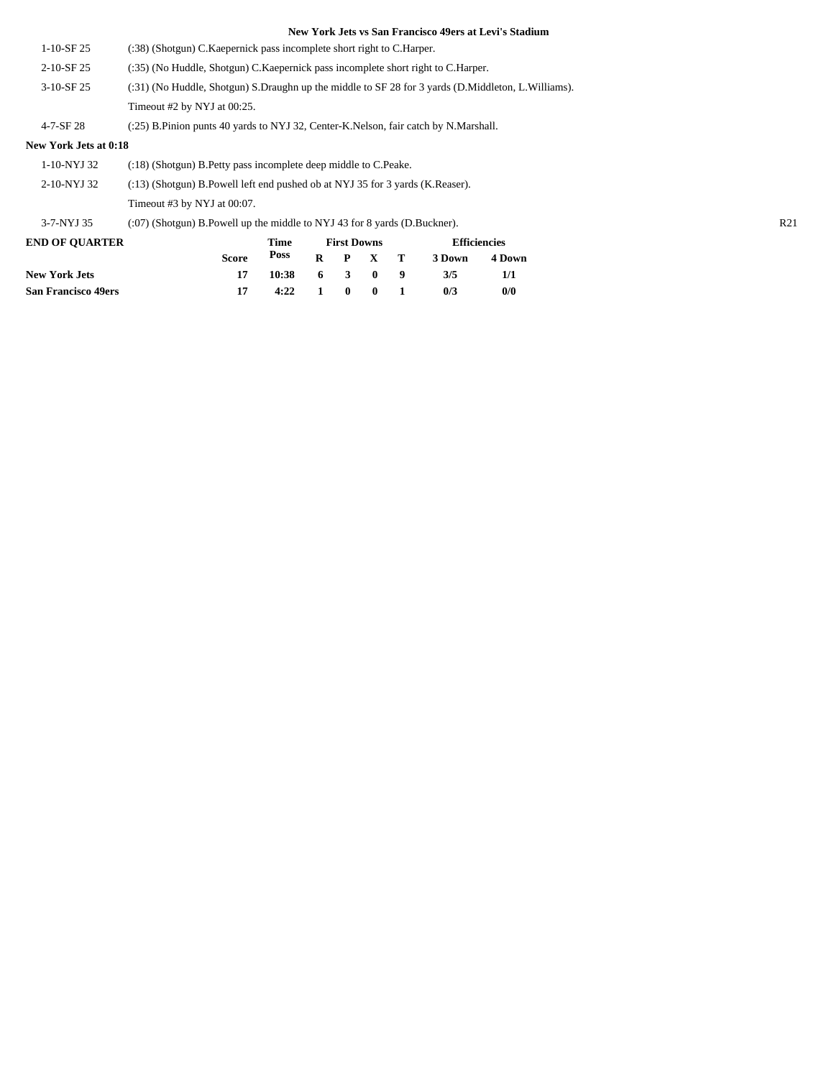| $1-10-SF25$           | (:38) (Shotgun) C. Kaepernick pass incomplete short right to C. Harper.                            |  |  |  |  |  |
|-----------------------|----------------------------------------------------------------------------------------------------|--|--|--|--|--|
| 2-10-SF 25            | (:35) (No Huddle, Shotgun) C. Kaepernick pass incomplete short right to C. Harper.                 |  |  |  |  |  |
| $3-10-SF25$           | (:31) (No Huddle, Shotgun) S.Draughn up the middle to SF 28 for 3 yards (D.Middleton, L.Williams). |  |  |  |  |  |
|                       | Timeout $#2$ by NYJ at $00:25$ .                                                                   |  |  |  |  |  |
| $4 - 7 - SF$ 28       | (:25) B.Pinion punts 40 yards to NYJ 32, Center-K.Nelson, fair catch by N.Marshall.                |  |  |  |  |  |
| New York Jets at 0:18 |                                                                                                    |  |  |  |  |  |
| 1-10-NYJ 32           | (:18) (Shotgun) B. Petty pass incomplete deep middle to C. Peake.                                  |  |  |  |  |  |
| 2-10-NYJ 32           | $(13)$ (Shotgun) B. Powell left end pushed ob at NYJ 35 for 3 yards (K. Reaser).                   |  |  |  |  |  |
|                       | Timeout $#3$ by NYJ at $00:07$ .                                                                   |  |  |  |  |  |
|                       |                                                                                                    |  |  |  |  |  |

3-7-NYJ 35 (:07) (Shotgun) B.Powell up the middle to NYJ 43 for 8 yards (D.Buckner). R21

| <b>END OF OUARTER</b>      | Time  |       |  |       | <b>First Downs</b> | <b>Efficiencies</b> |        |
|----------------------------|-------|-------|--|-------|--------------------|---------------------|--------|
|                            | Score | Poss  |  |       | $R$ $P$ $X$ $T$    | 3 Down              | 4 Down |
| <b>New York Jets</b>       |       | 10:38 |  |       | 6 3 0 9            | 3/5                 | 1/1    |
| <b>San Francisco 49ers</b> | 17    | 4:22  |  | 1 0 0 |                    | 0/3                 | 0/0    |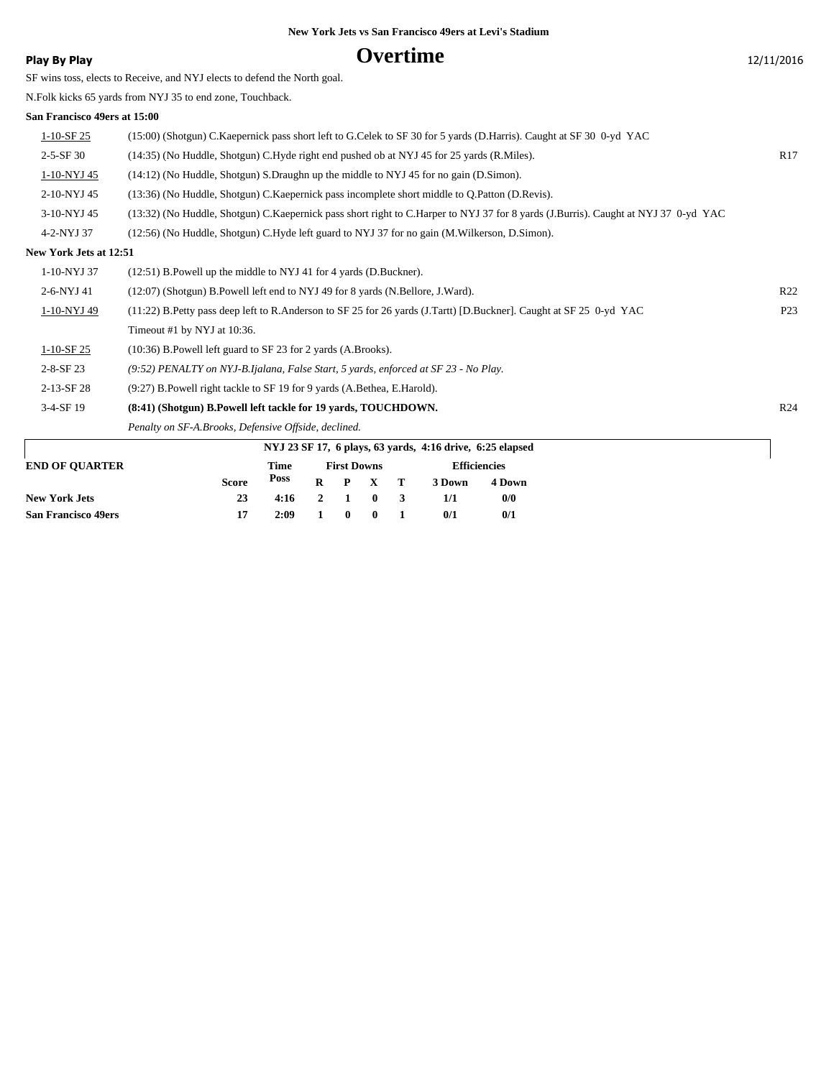# **Play By Play COVERTIME** 12/11/2016

SF wins toss, elects to Receive, and NYJ elects to defend the North goal.

N.Folk kicks 65 yards from NYJ 35 to end zone, Touchback.

## **San Francisco 49ers at 15:00**

| San Francisco 49618 at 19.00  |                                                                                                                                    |                 |
|-------------------------------|------------------------------------------------------------------------------------------------------------------------------------|-----------------|
| $1-10-SF25$                   | (15:00) (Shotgun) C.Kaepernick pass short left to G.Celek to SF 30 for 5 yards (D.Harris). Caught at SF 30 0-yd YAC                |                 |
| $2 - 5 - SF$ 30               | (14:35) (No Huddle, Shotgun) C.Hyde right end pushed ob at NYJ 45 for 25 yards (R.Miles).                                          | R17             |
| 1-10-NYJ 45                   | (14:12) (No Huddle, Shotgun) S.Draughn up the middle to NYJ 45 for no gain (D.Simon).                                              |                 |
| 2-10-NYJ 45                   | (13:36) (No Huddle, Shotgun) C. Kaepernick pass incomplete short middle to Q. Patton (D. Revis).                                   |                 |
| 3-10-NYJ 45                   | (13:32) (No Huddle, Shotgun) C.Kaepernick pass short right to C.Harper to NYJ 37 for 8 yards (J.Burris). Caught at NYJ 37 0-yd YAC |                 |
| 4-2-NYJ 37                    | (12:56) (No Huddle, Shotgun) C.Hyde left guard to NYJ 37 for no gain (M.Wilkerson, D.Simon).                                       |                 |
| <b>New York Jets at 12:51</b> |                                                                                                                                    |                 |
| 1-10-NYJ 37                   | (12:51) B. Powell up the middle to NYJ 41 for 4 yards (D. Buckner).                                                                |                 |
| 2-6-NYJ 41                    | (12:07) (Shotgun) B. Powell left end to NYJ 49 for 8 yards (N. Bellore, J. Ward).                                                  | R22             |
| 1-10-NYJ 49                   | (11:22) B. Petty pass deep left to R. Anderson to SF 25 for 26 yards (J. Tartt) [D. Buckner]. Caught at SF 25 0-yd YAC             | P <sub>23</sub> |
|                               | Timeout #1 by NYJ at 10:36.                                                                                                        |                 |
| $1-10-SF25$                   | $(10:36)$ B. Powell left guard to SF 23 for 2 yards $(A.Brooks)$ .                                                                 |                 |
| $2 - 8 - SF$ 23               | $(9.52)$ PENALTY on NYJ-B.Ijalana, False Start, 5 yards, enforced at SF 23 - No Play.                                              |                 |
| 2-13-SF 28                    | (9:27) B. Powell right tackle to SF 19 for 9 yards (A. Bethea, E. Harold).                                                         |                 |
| 3-4-SF 19                     | (8:41) (Shotgun) B.Powell left tackle for 19 yards, TOUCHDOWN.                                                                     | R24             |
|                               | Penalty on SF-A.Brooks, Defensive Offside, declined.                                                                               |                 |
|                               |                                                                                                                                    |                 |

| NYJ 23 SF 17, 6 plays, 63 yards, 4:16 drive, 6:25 elapsed |  |  |  |                                                                    |                           |                     |  |  |  |  |  |
|-----------------------------------------------------------|--|--|--|--------------------------------------------------------------------|---------------------------|---------------------|--|--|--|--|--|
| Time                                                      |  |  |  |                                                                    |                           | <b>Efficiencies</b> |  |  |  |  |  |
| Poss                                                      |  |  |  |                                                                    | 3 Down                    | 4 Down              |  |  |  |  |  |
|                                                           |  |  |  |                                                                    | 1/1                       | 0/0                 |  |  |  |  |  |
| 2:09                                                      |  |  |  |                                                                    | 0/1                       | 0/1                 |  |  |  |  |  |
|                                                           |  |  |  | <b>First Downs</b><br>$\begin{array}{ccc} & 1 & 0 & 0 \end{array}$ | R P X T<br>$4:16$ 2 1 0 3 |                     |  |  |  |  |  |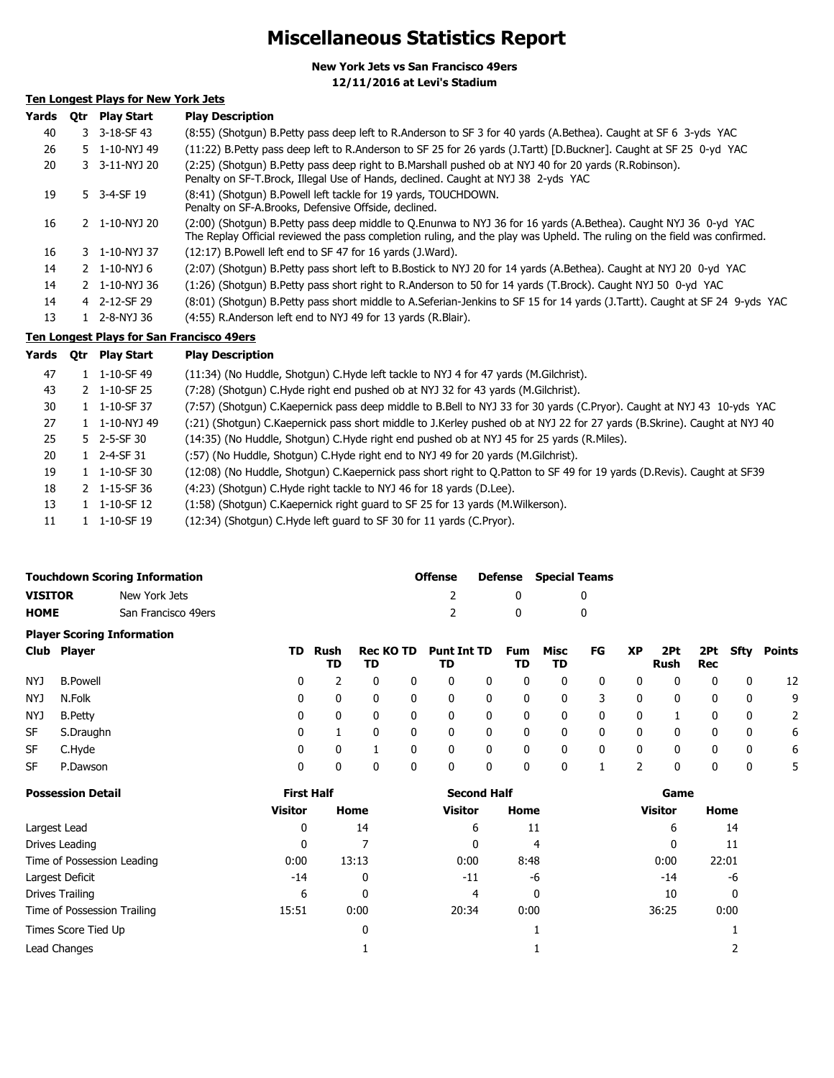# **Miscellaneous Statistics Report**

**New York Jets vs San Francisco 49ers 12/11/2016 at Levi's Stadium**

# **Ten Longest Plays for New York Jets**

| Yards | 0tr | <b>Play Start</b>        | <b>Play Description</b>                                                                                                                                                                                                                     |
|-------|-----|--------------------------|---------------------------------------------------------------------------------------------------------------------------------------------------------------------------------------------------------------------------------------------|
| 40    |     | $3 - 3 - 18 - SF - 43$   | (8:55) (Shotgun) B.Petty pass deep left to R.Anderson to SF 3 for 40 yards (A.Bethea). Caught at SF 6 3-yds YAC                                                                                                                             |
| 26    |     | 5 1-10-NYJ 49            | (11:22) B.Petty pass deep left to R.Anderson to SF 25 for 26 yards (J.Tartt) [D.Buckner]. Caught at SF 25 0-yd YAC                                                                                                                          |
| 20    |     | 3 3-11-NYJ 20            | (2:25) (Shotgun) B.Petty pass deep right to B.Marshall pushed ob at NYJ 40 for 20 yards (R.Robinson).<br>Penalty on SF-T.Brock, Illegal Use of Hands, declined. Caught at NYJ 38 2-yds YAC                                                  |
| 19    |     | 5 3-4-SF 19              | (8:41) (Shotgun) B.Powell left tackle for 19 yards, TOUCHDOWN.<br>Penalty on SF-A.Brooks, Defensive Offside, declined.                                                                                                                      |
| 16    |     | 2 1-10-NYJ 20            | (2:00) (Shotgun) B.Petty pass deep middle to O.Enunwa to NYJ 36 for 16 yards (A.Bethea). Caught NYJ 36 0-yd YAC<br>The Replay Official reviewed the pass completion ruling, and the play was Upheld. The ruling on the field was confirmed. |
| 16    |     | 3 1-10-NYJ 37            | $(12:17)$ B. Powell left end to SF 47 for 16 yards $($ J. Ward $)$ .                                                                                                                                                                        |
| 14    |     | $2 \quad 1 - 10 - NYJ6$  | (2:07) (Shotgun) B.Petty pass short left to B.Bostick to NYJ 20 for 14 yards (A.Bethea). Caught at NYJ 20 0-yd YAC                                                                                                                          |
| 14    |     | 2 1-10-NYJ 36            | (1:26) (Shotgun) B.Petty pass short right to R.Anderson to 50 for 14 yards (T.Brock). Caught NYJ 50 0-yd YAC                                                                                                                                |
| 14    |     | 4 2-12-SF 29             | (8:01) (Shotgun) B.Petty pass short middle to A.Seferian-Jenkins to SF 15 for 14 yards (J.Tartt). Caught at SF 24 9-yds YAC                                                                                                                 |
| 13    |     | $1 \quad 2 - 8 - NYJ$ 36 | (4:55) R.Anderson left end to NYJ 49 for 13 yards (R.Blair).                                                                                                                                                                                |

# **Ten Longest Plays for San Francisco 49ers**

| Yards | <b>Otr</b> | <b>Play Start</b>              | <b>Play Description</b>                                                                                                  |
|-------|------------|--------------------------------|--------------------------------------------------------------------------------------------------------------------------|
| 47    |            | 1 1-10-SF 49                   | (11:34) (No Huddle, Shotgun) C.Hyde left tackle to NYJ 4 for 47 yards (M.Gilchrist).                                     |
| 43    |            | 2 1-10-SF 25                   | (7:28) (Shotgun) C.Hyde right end pushed ob at NYJ 32 for 43 yards (M.Gilchrist).                                        |
| 30    |            | $1 \quad 1 - 10 - SF$ 37       | (7:57) (Shotqun) C.Kaepernick pass deep middle to B.Bell to NYJ 33 for 30 yards (C.Pryor). Caught at NYJ 43 10-yds YAC   |
| 27    |            | 1 1-10-NYJ 49                  | (:21) (Shotgun) C.Kaepernick pass short middle to J.Kerley pushed ob at NYJ 22 for 27 yards (B.Skrine). Caught at NYJ 40 |
| 25    |            | $5$ 2-5-SF 30                  | (14:35) (No Huddle, Shotqun) C.Hyde right end pushed ob at NYJ 45 for 25 yards (R.Miles).                                |
| 20    |            | 1 2-4-SF 31                    | (:57) (No Huddle, Shotgun) C.Hyde right end to NYJ 49 for 20 yards (M.Gilchrist).                                        |
| 19    |            | $1 \quad 1 - 10 - SF$ 30       | (12:08) (No Huddle, Shotgun) C.Kaepernick pass short right to Q.Patton to SF 49 for 19 yards (D.Revis). Caught at SF39   |
| 18    |            | $2 \quad 1 - 15 - SF \quad 36$ | (4:23) (Shotgun) C.Hyde right tackle to NYJ 46 for 18 yards (D.Lee).                                                     |
| 13    |            | $1 \quad 1 - 10 - SF$ 12       | (1:58) (Shotgun) C.Kaepernick right guard to SF 25 for 13 yards (M.Wilkerson).                                           |
| 11    |            | 1 1-10-SF 19                   | (12:34) (Shotgun) C.Hyde left guard to SF 30 for 11 yards (C.Pryor).                                                     |

|                |                 | <b>Touchdown Scoring Information</b> |     |            |                        | <b>Offense</b> |                          | Defense      | <b>Special Teams</b> |            |              |           |                    |              |              |               |
|----------------|-----------------|--------------------------------------|-----|------------|------------------------|----------------|--------------------------|--------------|----------------------|------------|--------------|-----------|--------------------|--------------|--------------|---------------|
| <b>VISITOR</b> |                 | New York Jets                        |     |            |                        |                |                          |              | 0                    |            | 0            |           |                    |              |              |               |
| <b>HOME</b>    |                 | San Francisco 49ers                  |     |            |                        |                |                          |              | 0                    |            | 0            |           |                    |              |              |               |
|                |                 | <b>Player Scoring Information</b>    |     |            |                        |                |                          |              |                      |            |              |           |                    |              |              |               |
|                | Club Player     |                                      | TD. | Rush<br>TD | <b>Rec KO TD</b><br>TD |                | <b>Punt Int TD</b><br>TD |              | <b>Fum</b><br>TD     | Misc<br>TD | FG           | <b>XP</b> | 2Pt<br><b>Rush</b> | 2Pt -<br>Rec | Sfty         | <b>Points</b> |
| NYJ            | <b>B.Powell</b> |                                      | 0   |            | 0                      | 0              | 0                        | 0            | 0                    | 0          | 0            | 0         | 0                  | 0            | 0            | 12            |
| NYJ            | N.Folk          |                                      | 0   | 0          | 0                      | 0              | 0                        | $\mathbf{0}$ | 0                    | 0          | 3            | 0         | 0                  | 0            | 0            | 9             |
| NYJ            | <b>B.Petty</b>  |                                      | 0   | 0          | 0                      | $\mathbf{0}$   | 0                        | $\mathbf{0}$ | 0                    | 0          | $\mathbf{0}$ | 0         |                    | 0            | 0            | 2             |
| SF             | S.Draughn       |                                      | 0   |            | 0                      | $\mathbf{0}$   | 0                        | $\Omega$     | 0                    | 0          | $\mathbf{0}$ | 0         | 0                  | 0            | 0            | 6             |
| <b>SF</b>      | C.Hyde          |                                      | 0   | 0          |                        | $\mathbf{0}$   | $\mathbf{0}$             | $\mathbf{0}$ | 0                    | 0          | $\mathbf{0}$ | 0         | 0                  | 0            | $\mathbf{0}$ | 6             |
| <b>SF</b>      | P.Dawson        |                                      | 0   | 0          | 0                      | 0              | 0                        | 0            | 0                    | 0          | 1            | 2         | 0                  | 0            | 0            | 5             |

| <b>Possession Detail</b>    | <b>First Half</b> |       | <b>Second Half</b> |      | Game           |       |  |  |
|-----------------------------|-------------------|-------|--------------------|------|----------------|-------|--|--|
|                             | <b>Visitor</b>    | Home  | <b>Visitor</b>     | Home | <b>Visitor</b> | Home  |  |  |
| Largest Lead                | 0                 | 14    | 6                  | 11   | 6              | 14    |  |  |
| Drives Leading              | 0                 |       | 0                  | 4    | 0              | 11    |  |  |
| Time of Possession Leading  | 0:00              | 13:13 | 0:00               | 8:48 | 0:00           | 22:01 |  |  |
| Largest Deficit             | $-14$             | 0     | $-11$              | -6   | $-14$          | -6    |  |  |
| Drives Trailing             | 6                 | 0     | 4                  | 0    | 10             | 0     |  |  |
| Time of Possession Trailing | 15:51             | 0:00  | 20:34              | 0:00 | 36:25          | 0:00  |  |  |
| Times Score Tied Up         |                   | 0     |                    |      |                |       |  |  |
| Lead Changes                |                   |       |                    |      |                |       |  |  |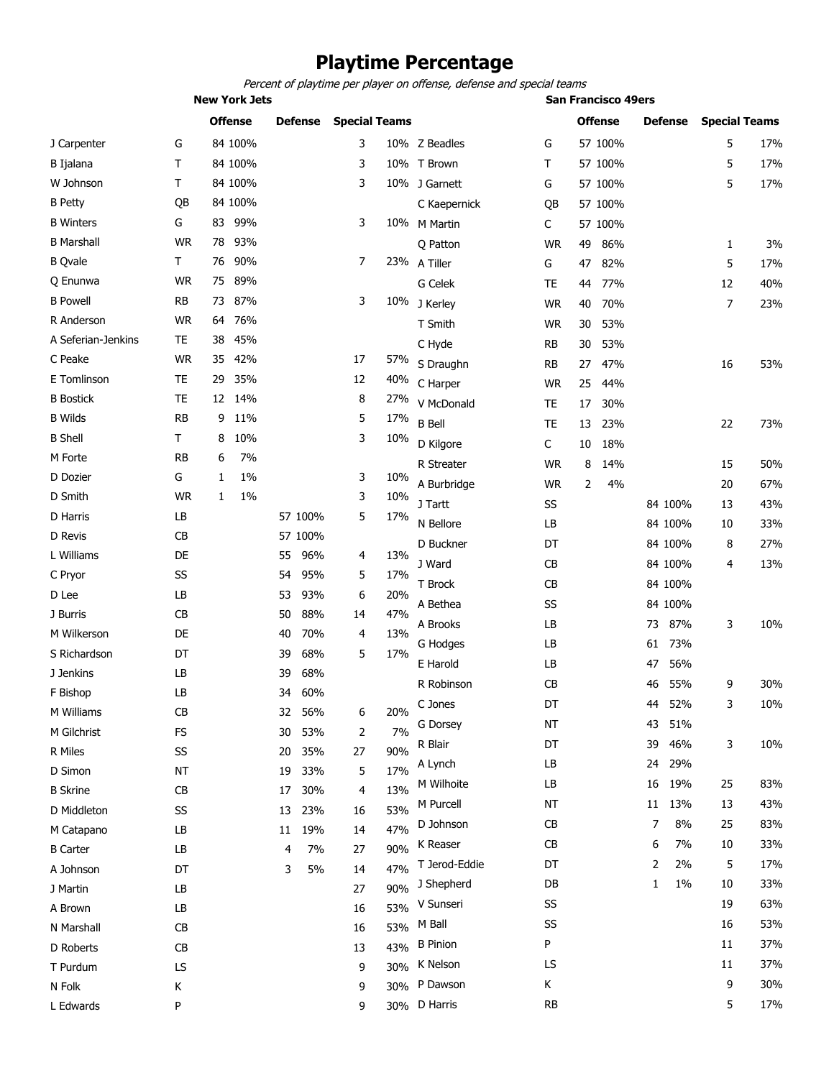# **Playtime Percentage**

*Percent of playtime per player on offense, defense and special teams*

**New York Jets San Francisco 49ers**

|                    |           |    | <b>Offense</b> |    | <b>Defense</b> | <b>Special Teams</b> |     |                 |           |    | <b>Offense</b> |    | <b>Defense</b> | <b>Special Teams</b> |     |
|--------------------|-----------|----|----------------|----|----------------|----------------------|-----|-----------------|-----------|----|----------------|----|----------------|----------------------|-----|
| J Carpenter        | G         |    | 84 100%        |    |                | 3                    |     | 10% Z Beadles   | G         |    | 57 100%        |    |                | 5                    | 17% |
| <b>B</b> Ijalana   | Τ         |    | 84 100%        |    |                | 3                    |     | 10% T Brown     | Т         |    | 57 100%        |    |                | 5                    | 17% |
| W Johnson          | Τ         |    | 84 100%        |    |                | 3                    |     | 10% J Garnett   | G         |    | 57 100%        |    |                | 5                    | 17% |
| <b>B</b> Petty     | QB        |    | 84 100%        |    |                |                      |     | C Kaepernick    | QB        |    | 57 100%        |    |                |                      |     |
| <b>B</b> Winters   | G         | 83 | 99%            |    |                | 3                    |     | 10% M Martin    | C         |    | 57 100%        |    |                |                      |     |
| <b>B</b> Marshall  | <b>WR</b> | 78 | 93%            |    |                |                      |     | O Patton        | <b>WR</b> | 49 | 86%            |    |                | 1                    | 3%  |
| <b>B</b> Qvale     | Τ         | 76 | 90%            |    |                | 7                    |     | 23% A Tiller    | G         | 47 | 82%            |    |                | 5                    | 17% |
| Q Enunwa           | <b>WR</b> | 75 | 89%            |    |                |                      |     | G Celek         | TE        | 44 | 77%            |    |                | 12                   | 40% |
| <b>B</b> Powell    | <b>RB</b> | 73 | 87%            |    |                | 3                    |     | 10% J Kerley    | <b>WR</b> | 40 | 70%            |    |                | 7                    | 23% |
| R Anderson         | <b>WR</b> | 64 | 76%            |    |                |                      |     | T Smith         | <b>WR</b> | 30 | 53%            |    |                |                      |     |
| A Seferian-Jenkins | TE        | 38 | 45%            |    |                |                      |     | C Hyde          | <b>RB</b> | 30 | 53%            |    |                |                      |     |
| C Peake            | <b>WR</b> | 35 | 42%            |    |                | 17                   | 57% | S Draughn       | RB        | 27 | 47%            |    |                | 16                   | 53% |
| E Tomlinson        | <b>TE</b> | 29 | 35%            |    |                | 12                   | 40% | C Harper        | <b>WR</b> | 25 | 44%            |    |                |                      |     |
| <b>B</b> Bostick   | TE        | 12 | 14%            |    |                | 8                    | 27% | V McDonald      | TE        | 17 | 30%            |    |                |                      |     |
| <b>B</b> Wilds     | <b>RB</b> | 9  | 11%            |    |                | 5                    | 17% | <b>B</b> Bell   | <b>TE</b> | 13 | 23%            |    |                | 22                   | 73% |
| <b>B</b> Shell     | Τ         | 8  | 10%            |    |                | 3                    | 10% | D Kilgore       | C         | 10 | 18%            |    |                |                      |     |
| M Forte            | RB        | 6  | 7%             |    |                |                      |     | R Streater      | WR        | 8  | 14%            |    |                | 15                   | 50% |
| D Dozier           | G         | 1  | 1%             |    |                | 3                    | 10% | A Burbridge     | <b>WR</b> | 2  | 4%             |    |                | 20                   | 67% |
| D Smith            | <b>WR</b> | 1  | $1\%$          |    |                | 3                    | 10% | J Tartt         | SS        |    |                |    | 84 100%        | 13                   | 43% |
| D Harris           | LB        |    |                |    | 57 100%        | 5                    | 17% | N Bellore       | LB        |    |                |    |                |                      | 33% |
| D Revis            | CB        |    |                |    | 57 100%        |                      |     |                 |           |    |                |    | 84 100%        | 10                   |     |
| L Williams         | DE        |    |                | 55 | 96%            | 4                    | 13% | D Buckner       | DT        |    |                |    | 84 100%        | 8                    | 27% |
| C Pryor            | SS        |    |                | 54 | 95%            | 5                    | 17% | J Ward          | CB        |    |                |    | 84 100%        | 4                    | 13% |
| D Lee              | LB        |    |                | 53 | 93%            | 6                    | 20% | T Brock         | CB        |    |                |    | 84 100%        |                      |     |
| J Burris           | CB        |    |                | 50 | 88%            | 14                   | 47% | A Bethea        | SS        |    |                |    | 84 100%        |                      |     |
| M Wilkerson        | DE        |    |                | 40 | 70%            | 4                    | 13% | A Brooks        | LB        |    |                | 73 | 87%            | 3                    | 10% |
| S Richardson       | DT        |    |                | 39 | 68%            | 5                    | 17% | G Hodges        | LB        |    |                | 61 | 73%            |                      |     |
| J Jenkins          | LB        |    |                | 39 | 68%            |                      |     | E Harold        | LB        |    |                | 47 | 56%            |                      |     |
| F Bishop           | LB        |    |                | 34 | 60%            |                      |     | R Robinson      | CВ        |    |                | 46 | 55%            | 9                    | 30% |
| M Williams         | CB        |    |                | 32 | 56%            | 6                    | 20% | C Jones         | DT        |    |                | 44 | 52%            | 3                    | 10% |
| M Gilchrist        | FS        |    |                | 30 | 53%            | 2                    | 7%  | G Dorsey        | <b>NT</b> |    |                | 43 | 51%            |                      |     |
| R Miles            | SS        |    |                | 20 | 35%            | 27                   | 90% | R Blair         | DT        |    |                | 39 | 46%            | 3                    | 10% |
| D Simon            | <b>NT</b> |    |                | 19 | 33%            | 5                    | 17% | A Lynch         | LB        |    |                | 24 | 29%            |                      |     |
| <b>B</b> Skrine    | CB        |    |                | 17 | 30%            | 4                    | 13% | M Wilhoite      | LB        |    |                | 16 | 19%            | 25                   | 83% |
| D Middleton        | SS        |    |                | 13 | 23%            | 16                   | 53% | M Purcell       | NT        |    |                | 11 | 13%            | 13                   | 43% |
| M Catapano         | LB        |    |                | 11 | 19%            | 14                   | 47% | D Johnson       | CB        |    |                | 7  | 8%             | 25                   | 83% |
| <b>B</b> Carter    | LB        |    |                | 4  | 7%             | 27                   | 90% | K Reaser        | <b>CB</b> |    |                | 6  | 7%             | 10                   | 33% |
| A Johnson          | DT        |    |                | 3  | 5%             | 14                   | 47% | T Jerod-Eddie   | DT        |    |                | 2  | 2%             | 5                    | 17% |
| J Martin           | LB        |    |                |    |                | 27                   | 90% | J Shepherd      | DB        |    |                | 1  | $1\%$          | 10                   | 33% |
| A Brown            | LB        |    |                |    |                | 16                   | 53% | V Sunseri       | SS        |    |                |    |                | 19                   | 63% |
| N Marshall         | CB        |    |                |    |                | 16                   | 53% | M Ball          | SS        |    |                |    |                | 16                   | 53% |
| D Roberts          | CB        |    |                |    |                | 13                   | 43% | <b>B</b> Pinion | P         |    |                |    |                | 11                   | 37% |
| T Purdum           | LS        |    |                |    |                | 9                    | 30% | K Nelson        | LS        |    |                |    |                | 11                   | 37% |
| N Folk             | Κ         |    |                |    |                | 9                    | 30% | P Dawson        | Κ         |    |                |    |                | 9                    | 30% |
| L Edwards          | P         |    |                |    |                | 9                    |     | 30% D Harris    | <b>RB</b> |    |                |    |                | 5                    | 17% |